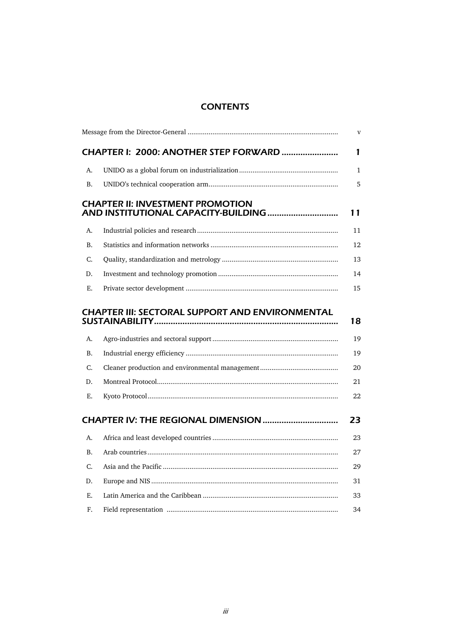### **CONTENTS**

|           |                                                        | $\mathbf{V}$ |
|-----------|--------------------------------------------------------|--------------|
|           | CHAPTER I: 2000: ANOTHER STEP FORWARD                  | 1            |
| А.        |                                                        | 1            |
| <b>B.</b> |                                                        | 5            |
|           | <b>CHAPTER II: INVESTMENT PROMOTION</b>                | 11           |
| A.        |                                                        | 11           |
| <b>B.</b> |                                                        | 12           |
| C.        |                                                        | 13           |
| D.        |                                                        | 14           |
| Е.        |                                                        | 15           |
| A.        | <b>CHAPTER III: SECTORAL SUPPORT AND ENVIRONMENTAL</b> | 18<br>19     |
| В.        |                                                        | 19           |
| C.        |                                                        | 20           |
| D.        |                                                        | 21           |
| Ε.        |                                                        | 22           |
|           | <b>CHAPTER IV: THE REGIONAL DIMENSION </b>             | 23           |
| А.        |                                                        | 23           |
| В.        |                                                        | 27           |
| C.        |                                                        | 29           |
| D.        |                                                        | 31           |
| Ε.        |                                                        | 33           |
| F.        |                                                        | 34           |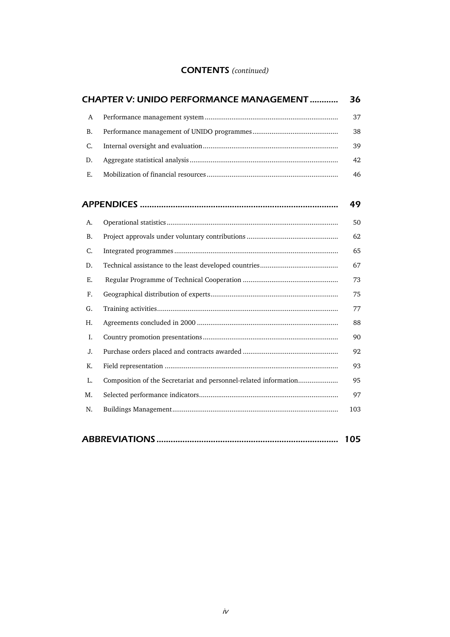#### CONTENTS *(continued)*

|    | <b>CHAPTER V: UNIDO PERFORMANCE MANAGEMENT </b>                  | 36  |
|----|------------------------------------------------------------------|-----|
| A  |                                                                  | 37  |
| B. |                                                                  | 38  |
| C. |                                                                  | 39  |
| D. |                                                                  | 42  |
| Ε. |                                                                  | 46  |
|    |                                                                  | 49  |
| A. |                                                                  | 50  |
| B. |                                                                  | 62  |
| C. |                                                                  | 65  |
| D. |                                                                  | 67  |
| Ε. |                                                                  | 73  |
| F. |                                                                  | 75  |
| G. |                                                                  | 77  |
| H. |                                                                  | 88  |
| I. |                                                                  | 90  |
| J. |                                                                  | 92  |
| К. |                                                                  | 93  |
| L. | Composition of the Secretariat and personnel-related information | 95  |
| M. |                                                                  | 97  |
| N. |                                                                  | 103 |
|    |                                                                  |     |

|--|--|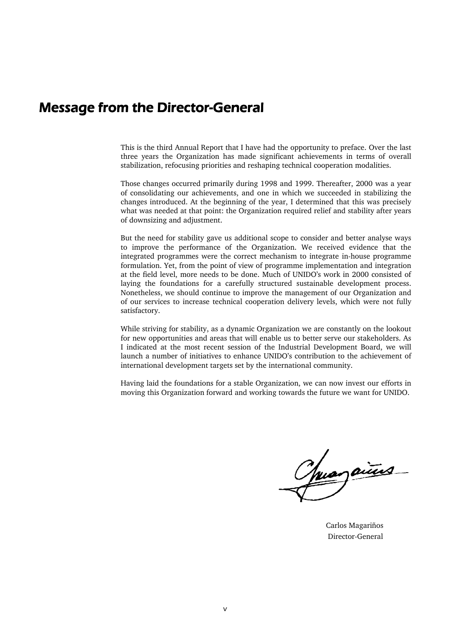# Message from the Director-General

This is the third Annual Report that I have had the opportunity to preface. Over the last three years the Organization has made significant achievements in terms of overall stabilization, refocusing priorities and reshaping technical cooperation modalities.

Those changes occurred primarily during 1998 and 1999. Thereafter, 2000 was a year of consolidating our achievements, and one in which we succeeded in stabilizing the changes introduced. At the beginning of the year, I determined that this was precisely what was needed at that point: the Organization required relief and stability after years of downsizing and adjustment.

But the need for stability gave us additional scope to consider and better analyse ways to improve the performance of the Organization. We received evidence that the integrated programmes were the correct mechanism to integrate in-house programme formulation. Yet, from the point of view of programme implementation and integration at the field level, more needs to be done. Much of UNIDO's work in 2000 consisted of laying the foundations for a carefully structured sustainable development process. Nonetheless, we should continue to improve the management of our Organization and of our services to increase technical cooperation delivery levels, which were not fully satisfactory.

While striving for stability, as a dynamic Organization we are constantly on the lookout for new opportunities and areas that will enable us to better serve our stakeholders. As I indicated at the most recent session of the Industrial Development Board, we will launch a number of initiatives to enhance UNIDO's contribution to the achievement of international development targets set by the international community.

Having laid the foundations for a stable Organization, we can now invest our efforts in moving this Organization forward and working towards the future we want for UNIDO.

paires

 Carlos Magariños Director-General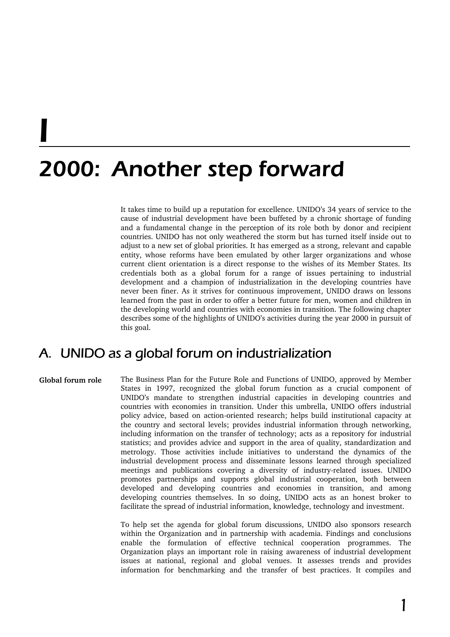# 2000: Another step forward

It takes time to build up a reputation for excellence. UNIDO's 34 years of service to the cause of industrial development have been buffeted by a chronic shortage of funding and a fundamental change in the perception of its role both by donor and recipient countries. UNIDO has not only weathered the storm but has turned itself inside out to adjust to a new set of global priorities. It has emerged as a strong, relevant and capable entity, whose reforms have been emulated by other larger organizations and whose current client orientation is a direct response to the wishes of its Member States. Its credentials both as a global forum for a range of issues pertaining to industrial development and a champion of industrialization in the developing countries have never been finer. As it strives for continuous improvement, UNIDO draws on lessons learned from the past in order to offer a better future for men, women and children in the developing world and countries with economies in transition. The following chapter describes some of the highlights of UNIDO's activities during the year 2000 in pursuit of this goal.

# A. UNIDO as a global forum on industrialization

#### Global forum role

I

The Business Plan for the Future Role and Functions of UNIDO, approved by Member States in 1997, recognized the global forum function as a crucial component of UNIDO's mandate to strengthen industrial capacities in developing countries and countries with economies in transition. Under this umbrella, UNIDO offers industrial policy advice, based on action-oriented research; helps build institutional capacity at the country and sectoral levels; provides industrial information through networking, including information on the transfer of technology; acts as a repository for industrial statistics; and provides advice and support in the area of quality, standardization and metrology. Those activities include initiatives to understand the dynamics of the industrial development process and disseminate lessons learned through specialized meetings and publications covering a diversity of industry-related issues. UNIDO promotes partnerships and supports global industrial cooperation, both between developed and developing countries and economies in transition, and among developing countries themselves. In so doing, UNIDO acts as an honest broker to facilitate the spread of industrial information, knowledge, technology and investment.

To help set the agenda for global forum discussions, UNIDO also sponsors research within the Organization and in partnership with academia. Findings and conclusions enable the formulation of effective technical cooperation programmes. The Organization plays an important role in raising awareness of industrial development issues at national, regional and global venues. It assesses trends and provides information for benchmarking and the transfer of best practices. It compiles and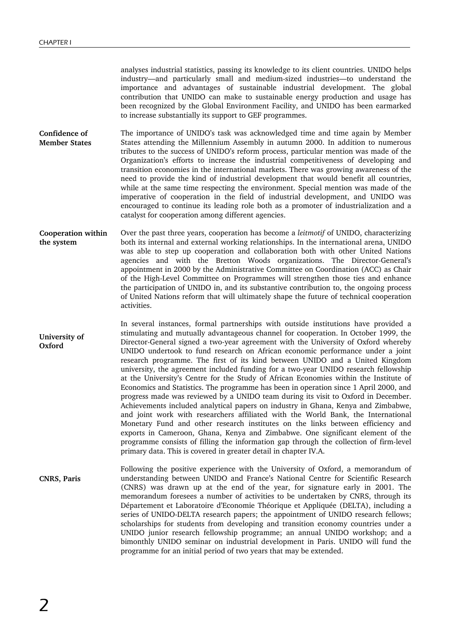analyses industrial statistics, passing its knowledge to its client countries. UNIDO helps industry—and particularly small and medium-sized industries—to understand the importance and advantages of sustainable industrial development. The global contribution that UNIDO can make to sustainable energy production and usage has been recognized by the Global Environment Facility, and UNIDO has been earmarked to increase substantially its support to GEF programmes.

The importance of UNIDO's task was acknowledged time and time again by Member States attending the Millennium Assembly in autumn 2000. In addition to numerous tributes to the success of UNIDO's reform process, particular mention was made of the Organization's efforts to increase the industrial competitiveness of developing and transition economies in the international markets. There was growing awareness of the need to provide the kind of industrial development that would benefit all countries, while at the same time respecting the environment. Special mention was made of the imperative of cooperation in the field of industrial development, and UNIDO was encouraged to continue its leading role both as a promoter of industrialization and a catalyst for cooperation among different agencies. Confidence of Member States

Over the past three years, cooperation has become a *leitmotif* of UNIDO, characterizing both its internal and external working relationships. In the international arena, UNIDO was able to step up cooperation and collaboration both with other United Nations agencies and with the Bretton Woods organizations. The Director-General's appointment in 2000 by the Administrative Committee on Coordination (ACC) as Chair of the High-Level Committee on Programmes will strengthen those ties and enhance the participation of UNIDO in, and its substantive contribution to, the ongoing process of United Nations reform that will ultimately shape the future of technical cooperation activities. Cooperation within the system

In several instances, formal partnerships with outside institutions have provided a stimulating and mutually advantageous channel for cooperation. In October 1999, the Director-General signed a two-year agreement with the University of Oxford whereby UNIDO undertook to fund research on African economic performance under a joint research programme. The first of its kind between UNIDO and a United Kingdom university, the agreement included funding for a two-year UNIDO research fellowship at the University's Centre for the Study of African Economies within the Institute of Economics and Statistics. The programme has been in operation since 1 April 2000, and progress made was reviewed by a UNIDO team during its visit to Oxford in December. Achievements included analytical papers on industry in Ghana, Kenya and Zimbabwe, and joint work with researchers affiliated with the World Bank, the International Monetary Fund and other research institutes on the links between efficiency and exports in Cameroon, Ghana, Kenya and Zimbabwe. One significant element of the programme consists of filling the information gap through the collection of firm-level primary data. This is covered in greater detail in chapter IV.A. University of Oxford

Following the positive experience with the University of Oxford, a memorandum of understanding between UNIDO and France's National Centre for Scientific Research (CNRS) was drawn up at the end of the year, for signature early in 2001. The memorandum foresees a number of activities to be undertaken by CNRS, through its Département et Laboratoire d'Economie Théorique et Appliquée (DELTA), including a series of UNIDO-DELTA research papers; the appointment of UNIDO research fellows; scholarships for students from developing and transition economy countries under a UNIDO junior research fellowship programme; an annual UNIDO workshop; and a bimonthly UNIDO seminar on industrial development in Paris. UNIDO will fund the programme for an initial period of two years that may be extended. CNRS, Paris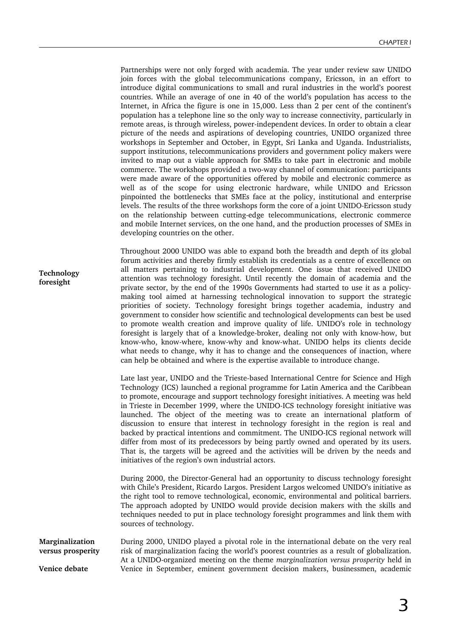Partnerships were not only forged with academia. The year under review saw UNIDO join forces with the global telecommunications company, Ericsson, in an effort to introduce digital communications to small and rural industries in the world's poorest countries. While an average of one in 40 of the world's population has access to the Internet, in Africa the figure is one in 15,000. Less than 2 per cent of the continent's population has a telephone line so the only way to increase connectivity, particularly in remote areas, is through wireless, power-independent devices. In order to obtain a clear picture of the needs and aspirations of developing countries, UNIDO organized three workshops in September and October, in Egypt, Sri Lanka and Uganda. Industrialists, support institutions, telecommunications providers and government policy makers were invited to map out a viable approach for SMEs to take part in electronic and mobile commerce. The workshops provided a two-way channel of communication: participants were made aware of the opportunities offered by mobile and electronic commerce as well as of the scope for using electronic hardware, while UNIDO and Ericsson pinpointed the bottlenecks that SMEs face at the policy, institutional and enterprise levels. The results of the three workshops form the core of a joint UNIDO-Ericsson study on the relationship between cutting-edge telecommunications, electronic commerce and mobile Internet services, on the one hand, and the production processes of SMEs in developing countries on the other.

Throughout 2000 UNIDO was able to expand both the breadth and depth of its global forum activities and thereby firmly establish its credentials as a centre of excellence on all matters pertaining to industrial development. One issue that received UNIDO attention was technology foresight. Until recently the domain of academia and the private sector, by the end of the 1990s Governments had started to use it as a policymaking tool aimed at harnessing technological innovation to support the strategic priorities of society. Technology foresight brings together academia, industry and government to consider how scientific and technological developments can best be used to promote wealth creation and improve quality of life. UNIDO's role in technology foresight is largely that of a knowledge-broker, dealing not only with know-how, but know-who, know-where, know-why and know-what. UNIDO helps its clients decide what needs to change, why it has to change and the consequences of inaction, where can help be obtained and where is the expertise available to introduce change.

Late last year, UNIDO and the Trieste-based International Centre for Science and High Technology (ICS) launched a regional programme for Latin America and the Caribbean to promote, encourage and support technology foresight initiatives. A meeting was held in Trieste in December 1999, where the UNIDO-ICS technology foresight initiative was launched. The object of the meeting was to create an international platform of discussion to ensure that interest in technology foresight in the region is real and backed by practical intentions and commitment. The UNIDO-ICS regional network will differ from most of its predecessors by being partly owned and operated by its users. That is, the targets will be agreed and the activities will be driven by the needs and initiatives of the region's own industrial actors.

During 2000, the Director-General had an opportunity to discuss technology foresight with Chile's President, Ricardo Largos. President Largos welcomed UNIDO's initiative as the right tool to remove technological, economic, environmental and political barriers. The approach adopted by UNIDO would provide decision makers with the skills and techniques needed to put in place technology foresight programmes and link them with sources of technology.

During 2000, UNIDO played a pivotal role in the international debate on the very real risk of marginalization facing the world's poorest countries as a result of globalization. At a UNIDO-organized meeting on the theme *marginalization versus prosperity* held in Venice in September, eminent government decision makers, businessmen, academic Marginalization versus prosperity Venice debate

Technology foresight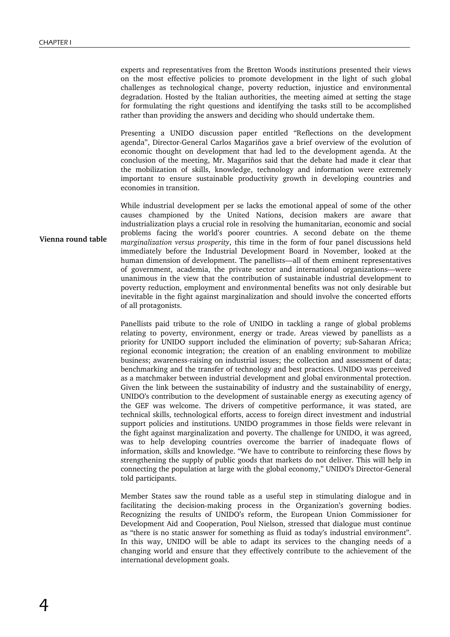experts and representatives from the Bretton Woods institutions presented their views on the most effective policies to promote development in the light of such global challenges as technological change, poverty reduction, injustice and environmental degradation. Hosted by the Italian authorities, the meeting aimed at setting the stage for formulating the right questions and identifying the tasks still to be accomplished rather than providing the answers and deciding who should undertake them.

Presenting a UNIDO discussion paper entitled "Reflections on the development agenda", Director-General Carlos Magariños gave a brief overview of the evolution of economic thought on development that had led to the development agenda. At the conclusion of the meeting, Mr. Magariños said that the debate had made it clear that the mobilization of skills, knowledge, technology and information were extremely important to ensure sustainable productivity growth in developing countries and economies in transition.

While industrial development per se lacks the emotional appeal of some of the other causes championed by the United Nations, decision makers are aware that industrialization plays a crucial role in resolving the humanitarian, economic and social problems facing the world's poorer countries. A second debate on the theme *marginalization versus prosperity*, this time in the form of four panel discussions held immediately before the Industrial Development Board in November, looked at the human dimension of development. The panellists—all of them eminent representatives of government, academia, the private sector and international organizations—were unanimous in the view that the contribution of sustainable industrial development to poverty reduction, employment and environmental benefits was not only desirable but inevitable in the fight against marginalization and should involve the concerted efforts of all protagonists.

Panellists paid tribute to the role of UNIDO in tackling a range of global problems relating to poverty, environment, energy or trade. Areas viewed by panellists as a priority for UNIDO support included the elimination of poverty; sub-Saharan Africa; regional economic integration; the creation of an enabling environment to mobilize business; awareness-raising on industrial issues; the collection and assessment of data; benchmarking and the transfer of technology and best practices. UNIDO was perceived as a matchmaker between industrial development and global environmental protection. Given the link between the sustainability of industry and the sustainability of energy, UNIDO's contribution to the development of sustainable energy as executing agency of the GEF was welcome. The drivers of competitive performance, it was stated, are technical skills, technological efforts, access to foreign direct investment and industrial support policies and institutions. UNIDO programmes in those fields were relevant in the fight against marginalization and poverty. The challenge for UNIDO, it was agreed, was to help developing countries overcome the barrier of inadequate flows of information, skills and knowledge. "We have to contribute to reinforcing these flows by strengthening the supply of public goods that markets do not deliver. This will help in connecting the population at large with the global economy," UNIDO's Director-General told participants.

Member States saw the round table as a useful step in stimulating dialogue and in facilitating the decision-making process in the Organization's governing bodies. Recognizing the results of UNIDO's reform, the European Union Commissioner for Development Aid and Cooperation, Poul Nielson, stressed that dialogue must continue as "there is no static answer for something as fluid as today's industrial environment". In this way, UNIDO will be able to adapt its services to the changing needs of a changing world and ensure that they effectively contribute to the achievement of the international development goals.

Vienna round table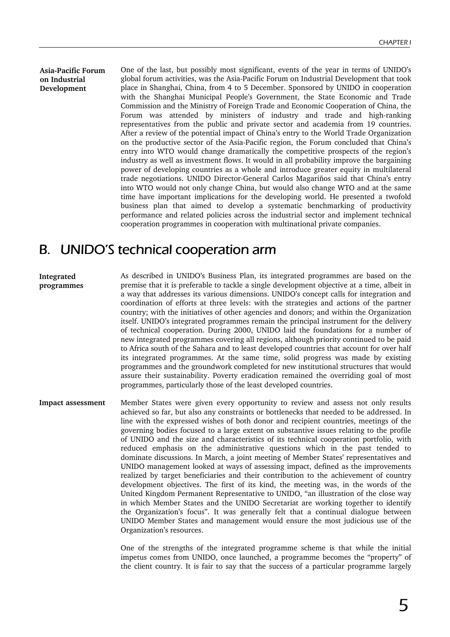One of the last, but possibly most significant, events of the year in terms of UNIDO's global forum activities, was the Asia-Pacific Forum on Industrial Development that took place in Shanghai, China, from 4 to 5 December. Sponsored by UNIDO in cooperation with the Shanghai Municipal People's Government, the State Economic and Trade Commission and the Ministry of Foreign Trade and Economic Cooperation of China, the Forum was attended by ministers of industry and trade and high-ranking representatives from the public and private sector and academia from 19 countries. After a review of the potential impact of China's entry to the World Trade Organization on the productive sector of the Asia-Pacific region, the Forum concluded that China's entry into WTO would change dramatically the competitive prospects of the region's industry as well as investment flows. It would in all probability improve the bargaining power of developing countries as a whole and introduce greater equity in multilateral trade negotiations. UNIDO Director-General Carlos Magariños said that China's entry into WTO would not only change China, but would also change WTO and at the same time have important implications for the developing world. He presented a twofold business plan that aimed to develop a systematic benchmarking of productivity performance and related policies across the industrial sector and implement technical cooperation programmes in cooperation with multinational private companies. Asia-Pacific Forum on Industrial Development

# B. UNIDO'S technical cooperation arm

As described in UNIDO's Business Plan, its integrated programmes are based on the premise that it is preferable to tackle a single development objective at a time, albeit in a way that addresses its various dimensions. UNIDO's concept calls for integration and coordination of efforts at three levels: with the strategies and actions of the partner country; with the initiatives of other agencies and donors; and within the Organization itself. UNIDO's integrated programmes remain the principal instrument for the delivery of technical cooperation. During 2000, UNIDO laid the foundations for a number of new integrated programmes covering all regions, although priority continued to be paid to Africa south of the Sahara and to least developed countries that account for over half its integrated programmes. At the same time, solid progress was made by existing programmes and the groundwork completed for new institutional structures that would assure their sustainability. Poverty eradication remained the overriding goal of most programmes, particularly those of the least developed countries. Integrated programmes

Member States were given every opportunity to review and assess not only results achieved so far, but also any constraints or bottlenecks that needed to be addressed. In line with the expressed wishes of both donor and recipient countries, meetings of the governing bodies focused to a large extent on substantive issues relating to the profile of UNIDO and the size and characteristics of its technical cooperation portfolio, with reduced emphasis on the administrative questions which in the past tended to dominate discussions. In March, a joint meeting of Member States' representatives and UNIDO management looked at ways of assessing impact, defined as the improvements realized by target beneficiaries and their contribution to the achievement of country development objectives. The first of its kind, the meeting was, in the words of the United Kingdom Permanent Representative to UNIDO, "an illustration of the close way in which Member States and the UNIDO Secretariat are working together to identify the Organization's focus". It was generally felt that a continual dialogue between UNIDO Member States and management would ensure the most judicious use of the Organization's resources. Impact assessment

> One of the strengths of the integrated programme scheme is that while the initial impetus comes from UNIDO, once launched, a programme becomes the "property" of the client country. It is fair to say that the success of a particular programme largely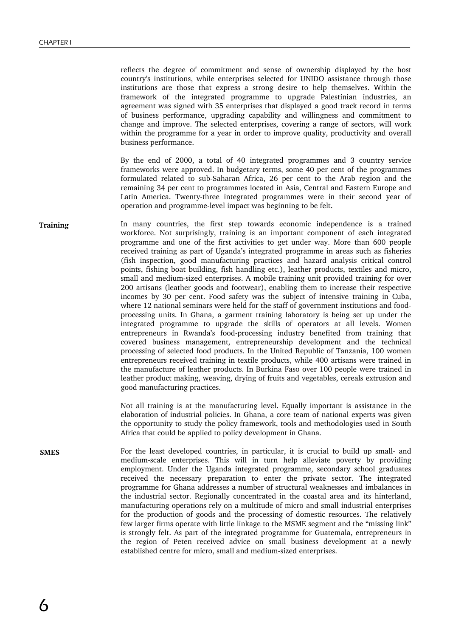reflects the degree of commitment and sense of ownership displayed by the host country's institutions, while enterprises selected for UNIDO assistance through those institutions are those that express a strong desire to help themselves. Within the framework of the integrated programme to upgrade Palestinian industries, an agreement was signed with 35 enterprises that displayed a good track record in terms of business performance, upgrading capability and willingness and commitment to change and improve. The selected enterprises, covering a range of sectors, will work within the programme for a year in order to improve quality, productivity and overall business performance.

By the end of 2000, a total of 40 integrated programmes and 3 country service frameworks were approved. In budgetary terms, some 40 per cent of the programmes formulated related to sub-Saharan Africa, 26 per cent to the Arab region and the remaining 34 per cent to programmes located in Asia, Central and Eastern Europe and Latin America. Twenty-three integrated programmes were in their second year of operation and programme-level impact was beginning to be felt.

In many countries, the first step towards economic independence is a trained workforce. Not surprisingly, training is an important component of each integrated programme and one of the first activities to get under way. More than 600 people received training as part of Uganda's integrated programme in areas such as fisheries (fish inspection, good manufacturing practices and hazard analysis critical control points, fishing boat building, fish handling etc.), leather products, textiles and micro, small and medium-sized enterprises. A mobile training unit provided training for over 200 artisans (leather goods and footwear), enabling them to increase their respective incomes by 30 per cent. Food safety was the subject of intensive training in Cuba, where 12 national seminars were held for the staff of government institutions and foodprocessing units. In Ghana, a garment training laboratory is being set up under the integrated programme to upgrade the skills of operators at all levels. Women entrepreneurs in Rwanda's food-processing industry benefited from training that covered business management, entrepreneurship development and the technical processing of selected food products. In the United Republic of Tanzania, 100 women entrepreneurs received training in textile products, while 400 artisans were trained in the manufacture of leather products. In Burkina Faso over 100 people were trained in leather product making, weaving, drying of fruits and vegetables, cereals extrusion and good manufacturing practices. Training

> Not all training is at the manufacturing level. Equally important is assistance in the elaboration of industrial policies. In Ghana, a core team of national experts was given the opportunity to study the policy framework, tools and methodologies used in South Africa that could be applied to policy development in Ghana.

For the least developed countries, in particular, it is crucial to build up small- and medium-scale enterprises. This will in turn help alleviate poverty by providing employment. Under the Uganda integrated programme, secondary school graduates received the necessary preparation to enter the private sector. The integrated programme for Ghana addresses a number of structural weaknesses and imbalances in the industrial sector. Regionally concentrated in the coastal area and its hinterland, manufacturing operations rely on a multitude of micro and small industrial enterprises for the production of goods and the processing of domestic resources. The relatively few larger firms operate with little linkage to the MSME segment and the "missing link" is strongly felt. As part of the integrated programme for Guatemala, entrepreneurs in the region of Peten received advice on small business development at a newly established centre for micro, small and medium-sized enterprises. SMES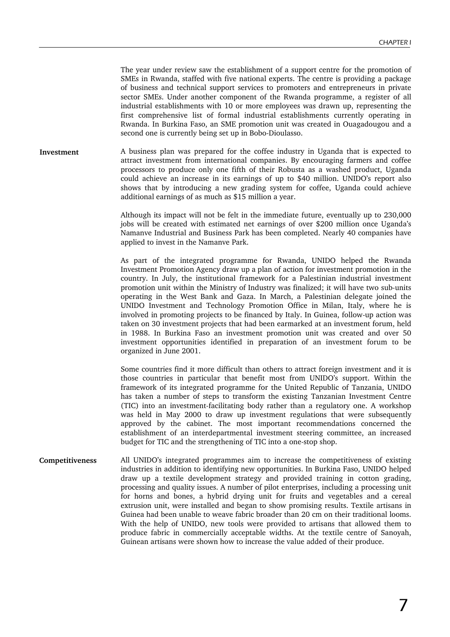The year under review saw the establishment of a support centre for the promotion of SMEs in Rwanda, staffed with five national experts. The centre is providing a package of business and technical support services to promoters and entrepreneurs in private sector SMEs. Under another component of the Rwanda programme, a register of all industrial establishments with 10 or more employees was drawn up, representing the first comprehensive list of formal industrial establishments currently operating in Rwanda. In Burkina Faso, an SME promotion unit was created in Ouagadougou and a second one is currently being set up in Bobo-Dioulasso.

A business plan was prepared for the coffee industry in Uganda that is expected to attract investment from international companies. By encouraging farmers and coffee processors to produce only one fifth of their Robusta as a washed product, Uganda could achieve an increase in its earnings of up to \$40 million. UNIDO's report also shows that by introducing a new grading system for coffee, Uganda could achieve additional earnings of as much as \$15 million a year. Investment

> Although its impact will not be felt in the immediate future, eventually up to 230,000 jobs will be created with estimated net earnings of over \$200 million once Uganda's Namanve Industrial and Business Park has been completed. Nearly 40 companies have applied to invest in the Namanve Park.

> As part of the integrated programme for Rwanda, UNIDO helped the Rwanda Investment Promotion Agency draw up a plan of action for investment promotion in the country. In July, the institutional framework for a Palestinian industrial investment promotion unit within the Ministry of Industry was finalized; it will have two sub-units operating in the West Bank and Gaza. In March, a Palestinian delegate joined the UNIDO Investment and Technology Promotion Office in Milan, Italy, where he is involved in promoting projects to be financed by Italy. In Guinea, follow-up action was taken on 30 investment projects that had been earmarked at an investment forum, held in 1988. In Burkina Faso an investment promotion unit was created and over 50 investment opportunities identified in preparation of an investment forum to be organized in June 2001.

> Some countries find it more difficult than others to attract foreign investment and it is those countries in particular that benefit most from UNIDO's support. Within the framework of its integrated programme for the United Republic of Tanzania, UNIDO has taken a number of steps to transform the existing Tanzanian Investment Centre (TIC) into an investment-facilitating body rather than a regulatory one. A workshop was held in May 2000 to draw up investment regulations that were subsequently approved by the cabinet. The most important recommendations concerned the establishment of an interdepartmental investment steering committee, an increased budget for TIC and the strengthening of TIC into a one-stop shop.

All UNIDO's integrated programmes aim to increase the competitiveness of existing industries in addition to identifying new opportunities. In Burkina Faso, UNIDO helped draw up a textile development strategy and provided training in cotton grading, processing and quality issues. A number of pilot enterprises, including a processing unit for horns and bones, a hybrid drying unit for fruits and vegetables and a cereal extrusion unit, were installed and began to show promising results. Textile artisans in Guinea had been unable to weave fabric broader than 20 cm on their traditional looms. With the help of UNIDO, new tools were provided to artisans that allowed them to produce fabric in commercially acceptable widths. At the textile centre of Sanoyah, Guinean artisans were shown how to increase the value added of their produce. Competitiveness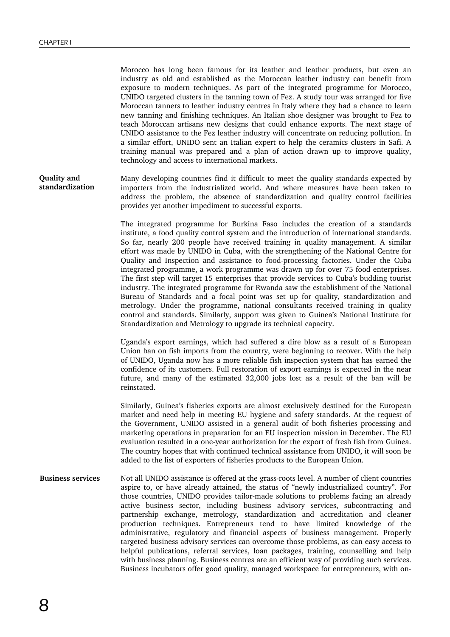Morocco has long been famous for its leather and leather products, but even an industry as old and established as the Moroccan leather industry can benefit from exposure to modern techniques. As part of the integrated programme for Morocco, UNIDO targeted clusters in the tanning town of Fez. A study tour was arranged for five Moroccan tanners to leather industry centres in Italy where they had a chance to learn new tanning and finishing techniques. An Italian shoe designer was brought to Fez to teach Moroccan artisans new designs that could enhance exports. The next stage of UNIDO assistance to the Fez leather industry will concentrate on reducing pollution. In a similar effort, UNIDO sent an Italian expert to help the ceramics clusters in Safi. A training manual was prepared and a plan of action drawn up to improve quality, technology and access to international markets.

Many developing countries find it difficult to meet the quality standards expected by importers from the industrialized world. And where measures have been taken to address the problem, the absence of standardization and quality control facilities provides yet another impediment to successful exports. Quality and standardization

> The integrated programme for Burkina Faso includes the creation of a standards institute, a food quality control system and the introduction of international standards. So far, nearly 200 people have received training in quality management. A similar effort was made by UNIDO in Cuba, with the strengthening of the National Centre for Quality and Inspection and assistance to food-processing factories. Under the Cuba integrated programme, a work programme was drawn up for over 75 food enterprises. The first step will target 15 enterprises that provide services to Cuba's budding tourist industry. The integrated programme for Rwanda saw the establishment of the National Bureau of Standards and a focal point was set up for quality, standardization and metrology. Under the programme, national consultants received training in quality control and standards. Similarly, support was given to Guinea's National Institute for Standardization and Metrology to upgrade its technical capacity.

> Uganda's export earnings, which had suffered a dire blow as a result of a European Union ban on fish imports from the country, were beginning to recover. With the help of UNIDO, Uganda now has a more reliable fish inspection system that has earned the confidence of its customers. Full restoration of export earnings is expected in the near future, and many of the estimated 32,000 jobs lost as a result of the ban will be reinstated.

> Similarly, Guinea's fisheries exports are almost exclusively destined for the European market and need help in meeting EU hygiene and safety standards. At the request of the Government, UNIDO assisted in a general audit of both fisheries processing and marketing operations in preparation for an EU inspection mission in December. The EU evaluation resulted in a one-year authorization for the export of fresh fish from Guinea. The country hopes that with continued technical assistance from UNIDO, it will soon be added to the list of exporters of fisheries products to the European Union.

Not all UNIDO assistance is offered at the grass-roots level. A number of client countries aspire to, or have already attained, the status of "newly industrialized country". For those countries, UNIDO provides tailor-made solutions to problems facing an already active business sector, including business advisory services, subcontracting and partnership exchange, metrology, standardization and accreditation and cleaner production techniques. Entrepreneurs tend to have limited knowledge of the administrative, regulatory and financial aspects of business management. Properly targeted business advisory services can overcome those problems, as can easy access to helpful publications, referral services, loan packages, training, counselling and help with business planning. Business centres are an efficient way of providing such services. Business incubators offer good quality, managed workspace for entrepreneurs, with on-Business services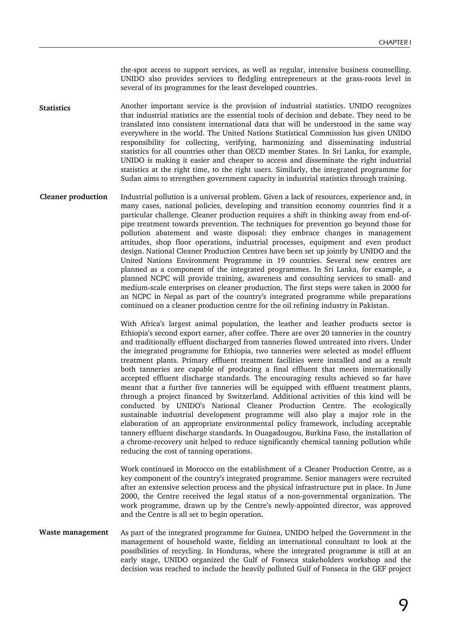the-spot access to support services, as well as regular, intensive business counselling. UNIDO also provides services to fledgling entrepreneurs at the grass-roots level in several of its programmes for the least developed countries.

Another important service is the provision of industrial statistics. UNIDO recognizes that industrial statistics are the essential tools of decision and debate. They need to be translated into consistent international data that will be understood in the same way everywhere in the world. The United Nations Statistical Commission has given UNIDO responsibility for collecting, verifying, harmonizing and disseminating industrial statistics for all countries other than OECD member States. In Sri Lanka, for example, UNIDO is making it easier and cheaper to access and disseminate the right industrial statistics at the right time, to the right users. Similarly, the integrated programme for Sudan aims to strengthen government capacity in industrial statistics through training. **Statistics** 

Industrial pollution is a universal problem. Given a lack of resources, experience and, in many cases, national policies, developing and transition economy countries find it a particular challenge. Cleaner production requires a shift in thinking away from end-ofpipe treatment towards prevention. The techniques for prevention go beyond those for pollution abatement and waste disposal: they embrace changes in management attitudes, shop floor operations, industrial processes, equipment and even product design. National Cleaner Production Centres have been set up jointly by UNIDO and the United Nations Environment Programme in 19 countries. Several new centres are planned as a component of the integrated programmes. In Sri Lanka, for example, a planned NCPC will provide training, awareness and consulting services to small- and medium-scale enterprises on cleaner production. The first steps were taken in 2000 for an NCPC in Nepal as part of the country's integrated programme while preparations continued on a cleaner production centre for the oil refining industry in Pakistan. Cleaner production

> With Africa's largest animal population, the leather and leather products sector is Ethiopia's second export earner, after coffee. There are over 20 tanneries in the country and traditionally effluent discharged from tanneries flowed untreated into rivers. Under the integrated programme for Ethiopia, two tanneries were selected as model effluent treatment plants. Primary effluent treatment facilities were installed and as a result both tanneries are capable of producing a final effluent that meets internationally accepted effluent discharge standards. The encouraging results achieved so far have meant that a further five tanneries will be equipped with effluent treatment plants, through a project financed by Switzerland. Additional activities of this kind will be conducted by UNIDO's National Cleaner Production Centre. The ecologically sustainable industrial development programme will also play a major role in the elaboration of an appropriate environmental policy framework, including acceptable tannery effluent discharge standards. In Ouagadougou, Burkina Faso, the installation of a chrome-recovery unit helped to reduce significantly chemical tanning pollution while reducing the cost of tanning operations.

> Work continued in Morocco on the establishment of a Cleaner Production Centre, as a key component of the country's integrated programme. Senior managers were recruited after an extensive selection process and the physical infrastructure put in place. In June 2000, the Centre received the legal status of a non-governmental organization. The work programme, drawn up by the Centre's newly-appointed director, was approved and the Centre is all set to begin operation.

As part of the integrated programme for Guinea, UNIDO helped the Government in the management of household waste, fielding an international consultant to look at the possibilities of recycling. In Honduras, where the integrated programme is still at an early stage, UNIDO organized the Gulf of Fonseca stakeholders workshop and the decision was reached to include the heavily polluted Gulf of Fonseca in the GEF project Waste management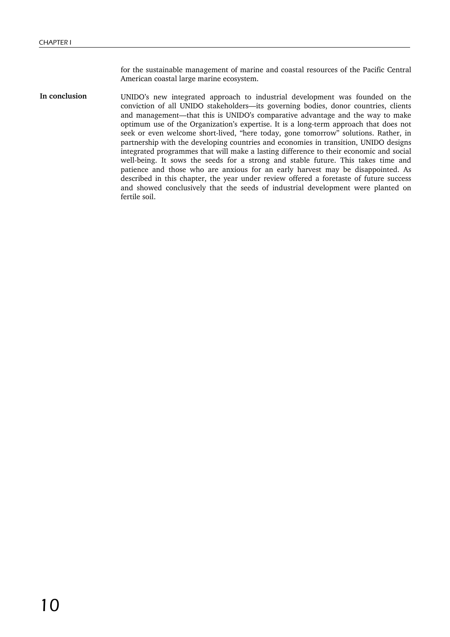for the sustainable management of marine and coastal resources of the Pacific Central American coastal large marine ecosystem.

UNIDO's new integrated approach to industrial development was founded on the conviction of all UNIDO stakeholders—its governing bodies, donor countries, clients and management—that this is UNIDO's comparative advantage and the way to make optimum use of the Organization's expertise. It is a long-term approach that does not seek or even welcome short-lived, "here today, gone tomorrow" solutions. Rather, in partnership with the developing countries and economies in transition, UNIDO designs integrated programmes that will make a lasting difference to their economic and social well-being. It sows the seeds for a strong and stable future. This takes time and patience and those who are anxious for an early harvest may be disappointed. As described in this chapter, the year under review offered a foretaste of future success and showed conclusively that the seeds of industrial development were planted on fertile soil. In conclusion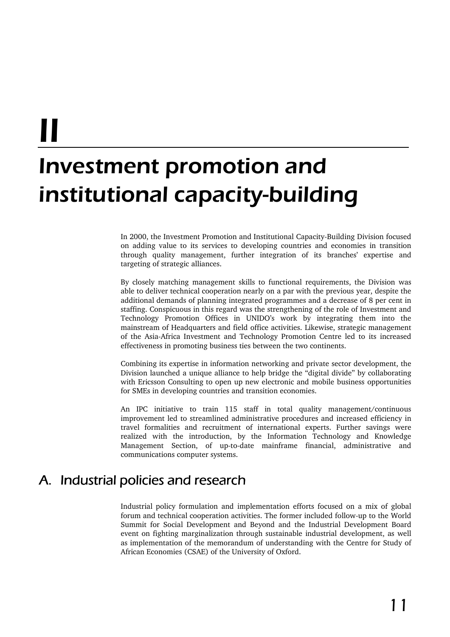# II

# Investment promotion and institutional capacity-building

In 2000, the Investment Promotion and Institutional Capacity-Building Division focused on adding value to its services to developing countries and economies in transition through quality management, further integration of its branches' expertise and targeting of strategic alliances.

By closely matching management skills to functional requirements, the Division was able to deliver technical cooperation nearly on a par with the previous year, despite the additional demands of planning integrated programmes and a decrease of 8 per cent in staffing. Conspicuous in this regard was the strengthening of the role of Investment and Technology Promotion Offices in UNIDO's work by integrating them into the mainstream of Headquarters and field office activities. Likewise, strategic management of the Asia-Africa Investment and Technology Promotion Centre led to its increased effectiveness in promoting business ties between the two continents.

Combining its expertise in information networking and private sector development, the Division launched a unique alliance to help bridge the "digital divide" by collaborating with Ericsson Consulting to open up new electronic and mobile business opportunities for SMEs in developing countries and transition economies.

An IPC initiative to train 115 staff in total quality management/continuous improvement led to streamlined administrative procedures and increased efficiency in travel formalities and recruitment of international experts. Further savings were realized with the introduction, by the Information Technology and Knowledge Management Section, of up-to-date mainframe financial, administrative and communications computer systems.

# A. Industrial policies and research

Industrial policy formulation and implementation efforts focused on a mix of global forum and technical cooperation activities. The former included follow-up to the World Summit for Social Development and Beyond and the Industrial Development Board event on fighting marginalization through sustainable industrial development, as well as implementation of the memorandum of understanding with the Centre for Study of African Economies (CSAE) of the University of Oxford.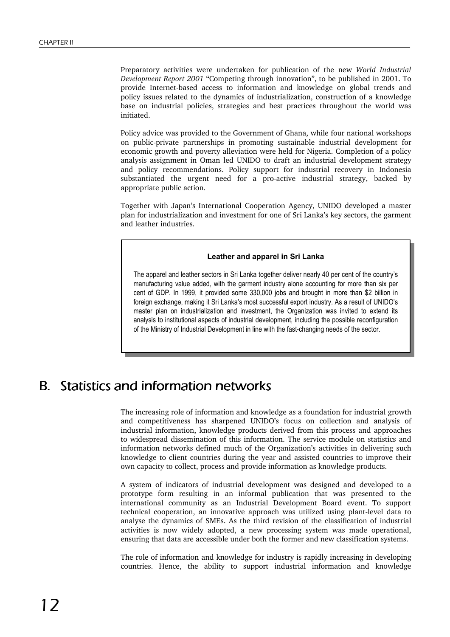Preparatory activities were undertaken for publication of the new *World Industrial Development Report 2001* "Competing through innovation", to be published in 2001. To provide Internet-based access to information and knowledge on global trends and policy issues related to the dynamics of industrialization, construction of a knowledge base on industrial policies, strategies and best practices throughout the world was initiated.

Policy advice was provided to the Government of Ghana, while four national workshops on public-private partnerships in promoting sustainable industrial development for economic growth and poverty alleviation were held for Nigeria. Completion of a policy analysis assignment in Oman led UNIDO to draft an industrial development strategy and policy recommendations. Policy support for industrial recovery in Indonesia substantiated the urgent need for a pro-active industrial strategy, backed by appropriate public action.

Together with Japan's International Cooperation Agency, UNIDO developed a master plan for industrialization and investment for one of Sri Lanka's key sectors, the garment and leather industries.

#### **Leather and apparel in Sri Lanka**

The apparel and leather sectors in Sri Lanka together deliver nearly 40 per cent of the country's manufacturing value added, with the garment industry alone accounting for more than six per cent of GDP. In 1999, it provided some 330,000 jobs and brought in more than \$2 billion in foreign exchange, making it Sri Lanka's most successful export industry. As a result of UNIDO's master plan on industrialization and investment, the Organization was invited to extend its analysis to institutional aspects of industrial development, including the possible reconfiguration of the Ministry of Industrial Development in line with the fast-changing needs of the sector.

# B. Statistics and information networks

The increasing role of information and knowledge as a foundation for industrial growth and competitiveness has sharpened UNIDO's focus on collection and analysis of industrial information, knowledge products derived from this process and approaches to widespread dissemination of this information. The service module on statistics and information networks defined much of the Organization's activities in delivering such knowledge to client countries during the year and assisted countries to improve their own capacity to collect, process and provide information as knowledge products.

A system of indicators of industrial development was designed and developed to a prototype form resulting in an informal publication that was presented to the international community as an Industrial Development Board event. To support technical cooperation, an innovative approach was utilized using plant-level data to analyse the dynamics of SMEs. As the third revision of the classification of industrial activities is now widely adopted, a new processing system was made operational, ensuring that data are accessible under both the former and new classification systems.

The role of information and knowledge for industry is rapidly increasing in developing countries. Hence, the ability to support industrial information and knowledge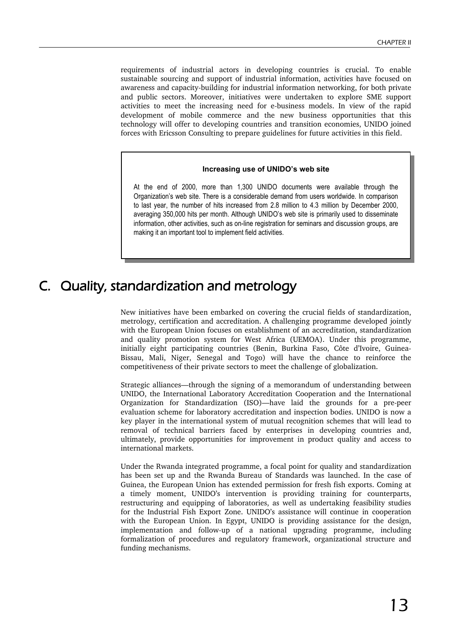requirements of industrial actors in developing countries is crucial. To enable sustainable sourcing and support of industrial information, activities have focused on awareness and capacity-building for industrial information networking, for both private and public sectors. Moreover, initiatives were undertaken to explore SME support activities to meet the increasing need for e-business models. In view of the rapid development of mobile commerce and the new business opportunities that this technology will offer to developing countries and transition economies, UNIDO joined forces with Ericsson Consulting to prepare guidelines for future activities in this field.

#### **Increasing use of UNIDO's web site**

At the end of 2000, more than 1,300 UNIDO documents were available through the Organization's web site. There is a considerable demand from users worldwide. In comparison to last year, the number of hits increased from 2.8 million to 4.3 million by December 2000, averaging 350,000 hits per month. Although UNIDO's web site is primarily used to disseminate information, other activities, such as on-line registration for seminars and discussion groups, are making it an important tool to implement field activities.

# C. Quality, standardization and metrology

New initiatives have been embarked on covering the crucial fields of standardization, metrology, certification and accreditation. A challenging programme developed jointly with the European Union focuses on establishment of an accreditation, standardization and quality promotion system for West Africa (UEMOA). Under this programme, initially eight participating countries (Benin, Burkina Faso, Côte d'Ivoire, Guinea-Bissau, Mali, Niger, Senegal and Togo) will have the chance to reinforce the competitiveness of their private sectors to meet the challenge of globalization.

Strategic alliances—through the signing of a memorandum of understanding between UNIDO, the International Laboratory Accreditation Cooperation and the International Organization for Standardization (ISO)—have laid the grounds for a pre-peer evaluation scheme for laboratory accreditation and inspection bodies. UNIDO is now a key player in the international system of mutual recognition schemes that will lead to removal of technical barriers faced by enterprises in developing countries and, ultimately, provide opportunities for improvement in product quality and access to international markets.

Under the Rwanda integrated programme, a focal point for quality and standardization has been set up and the Rwanda Bureau of Standards was launched. In the case of Guinea, the European Union has extended permission for fresh fish exports. Coming at a timely moment, UNIDO's intervention is providing training for counterparts, restructuring and equipping of laboratories, as well as undertaking feasibility studies for the Industrial Fish Export Zone. UNIDO's assistance will continue in cooperation with the European Union. In Egypt, UNIDO is providing assistance for the design, implementation and follow-up of a national upgrading programme, including formalization of procedures and regulatory framework, organizational structure and funding mechanisms.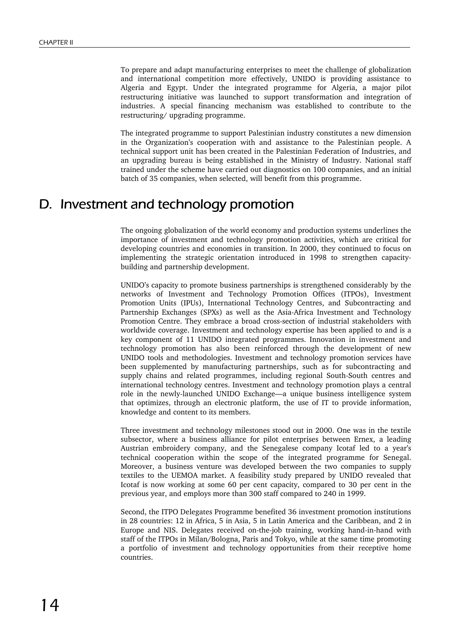To prepare and adapt manufacturing enterprises to meet the challenge of globalization and international competition more effectively, UNIDO is providing assistance to Algeria and Egypt. Under the integrated programme for Algeria, a major pilot restructuring initiative was launched to support transformation and integration of industries. A special financing mechanism was established to contribute to the restructuring/ upgrading programme.

The integrated programme to support Palestinian industry constitutes a new dimension in the Organization's cooperation with and assistance to the Palestinian people. A technical support unit has been created in the Palestinian Federation of Industries, and an upgrading bureau is being established in the Ministry of Industry. National staff trained under the scheme have carried out diagnostics on 100 companies, and an initial batch of 35 companies, when selected, will benefit from this programme.

# D. Investment and technology promotion

The ongoing globalization of the world economy and production systems underlines the importance of investment and technology promotion activities, which are critical for developing countries and economies in transition. In 2000, they continued to focus on implementing the strategic orientation introduced in 1998 to strengthen capacitybuilding and partnership development.

UNIDO's capacity to promote business partnerships is strengthened considerably by the networks of Investment and Technology Promotion Offices (ITPOs), Investment Promotion Units (IPUs), International Technology Centres, and Subcontracting and Partnership Exchanges (SPXs) as well as the Asia-Africa Investment and Technology Promotion Centre. They embrace a broad cross-section of industrial stakeholders with worldwide coverage. Investment and technology expertise has been applied to and is a key component of 11 UNIDO integrated programmes. Innovation in investment and technology promotion has also been reinforced through the development of new UNIDO tools and methodologies. Investment and technology promotion services have been supplemented by manufacturing partnerships, such as for subcontracting and supply chains and related programmes, including regional South-South centres and international technology centres. Investment and technology promotion plays a central role in the newly-launched UNIDO Exchange—a unique business intelligence system that optimizes, through an electronic platform, the use of IT to provide information, knowledge and content to its members.

Three investment and technology milestones stood out in 2000. One was in the textile subsector, where a business alliance for pilot enterprises between Ernex, a leading Austrian embroidery company, and the Senegalese company Icotaf led to a year's technical cooperation within the scope of the integrated programme for Senegal. Moreover, a business venture was developed between the two companies to supply textiles to the UEMOA market. A feasibility study prepared by UNIDO revealed that Icotaf is now working at some 60 per cent capacity, compared to 30 per cent in the previous year, and employs more than 300 staff compared to 240 in 1999.

Second, the ITPO Delegates Programme benefited 36 investment promotion institutions in 28 countries: 12 in Africa, 5 in Asia, 5 in Latin America and the Caribbean, and 2 in Europe and NIS. Delegates received on-the-job training, working hand-in-hand with staff of the ITPOs in Milan/Bologna, Paris and Tokyo, while at the same time promoting a portfolio of investment and technology opportunities from their receptive home countries.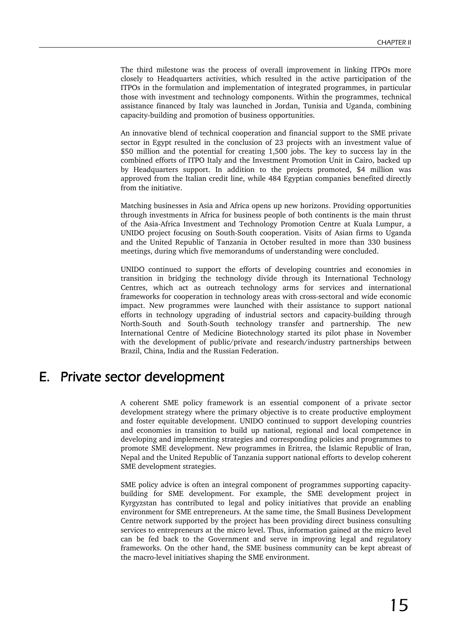The third milestone was the process of overall improvement in linking ITPOs more closely to Headquarters activities, which resulted in the active participation of the ITPOs in the formulation and implementation of integrated programmes, in particular those with investment and technology components. Within the programmes, technical assistance financed by Italy was launched in Jordan, Tunisia and Uganda, combining capacity-building and promotion of business opportunities.

An innovative blend of technical cooperation and financial support to the SME private sector in Egypt resulted in the conclusion of 23 projects with an investment value of \$50 million and the potential for creating 1,500 jobs. The key to success lay in the combined efforts of ITPO Italy and the Investment Promotion Unit in Cairo, backed up by Headquarters support. In addition to the projects promoted, \$4 million was approved from the Italian credit line, while 484 Egyptian companies benefited directly from the initiative.

Matching businesses in Asia and Africa opens up new horizons. Providing opportunities through investments in Africa for business people of both continents is the main thrust of the Asia-Africa Investment and Technology Promotion Centre at Kuala Lumpur, a UNIDO project focusing on South-South cooperation. Visits of Asian firms to Uganda and the United Republic of Tanzania in October resulted in more than 330 business meetings, during which five memorandums of understanding were concluded.

UNIDO continued to support the efforts of developing countries and economies in transition in bridging the technology divide through its International Technology Centres, which act as outreach technology arms for services and international frameworks for cooperation in technology areas with cross-sectoral and wide economic impact. New programmes were launched with their assistance to support national efforts in technology upgrading of industrial sectors and capacity-building through North-South and South-South technology transfer and partnership. The new International Centre of Medicine Biotechnology started its pilot phase in November with the development of public/private and research/industry partnerships between Brazil, China, India and the Russian Federation.

# E. Private sector development E. Private

A coherent SME policy framework is an essential component of a private sector development strategy where the primary objective is to create productive employment and foster equitable development. UNIDO continued to support developing countries and economies in transition to build up national, regional and local competence in developing and implementing strategies and corresponding policies and programmes to promote SME development. New programmes in Eritrea, the Islamic Republic of Iran, Nepal and the United Republic of Tanzania support national efforts to develop coherent SME development strategies.

SME policy advice is often an integral component of programmes supporting capacitybuilding for SME development. For example, the SME development project in Kyrgyzstan has contributed to legal and policy initiatives that provide an enabling environment for SME entrepreneurs. At the same time, the Small Business Development Centre network supported by the project has been providing direct business consulting services to entrepreneurs at the micro level. Thus, information gained at the micro level can be fed back to the Government and serve in improving legal and regulatory frameworks. On the other hand, the SME business community can be kept abreast of the macro-level initiatives shaping the SME environment.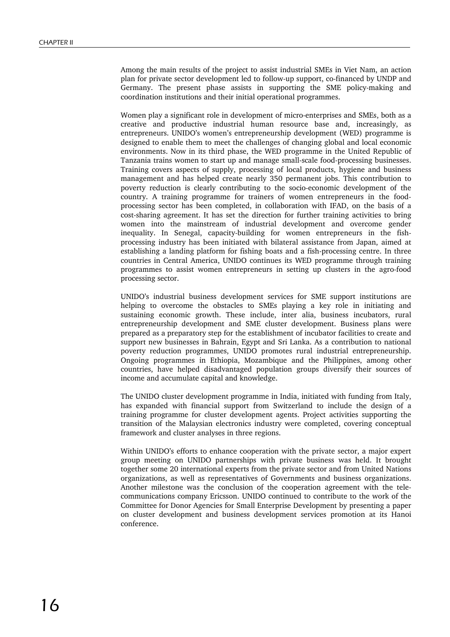Among the main results of the project to assist industrial SMEs in Viet Nam, an action plan for private sector development led to follow-up support, co-financed by UNDP and Germany. The present phase assists in supporting the SME policy-making and coordination institutions and their initial operational programmes.

Women play a significant role in development of micro-enterprises and SMEs, both as a creative and productive industrial human resource base and, increasingly, as entrepreneurs. UNIDO's women's entrepreneurship development (WED) programme is designed to enable them to meet the challenges of changing global and local economic environments. Now in its third phase, the WED programme in the United Republic of Tanzania trains women to start up and manage small-scale food-processing businesses. Training covers aspects of supply, processing of local products, hygiene and business management and has helped create nearly 350 permanent jobs. This contribution to poverty reduction is clearly contributing to the socio-economic development of the country. A training programme for trainers of women entrepreneurs in the foodprocessing sector has been completed, in collaboration with IFAD, on the basis of a cost-sharing agreement. It has set the direction for further training activities to bring women into the mainstream of industrial development and overcome gender inequality. In Senegal, capacity-building for women entrepreneurs in the fishprocessing industry has been initiated with bilateral assistance from Japan, aimed at establishing a landing platform for fishing boats and a fish-processing centre. In three countries in Central America, UNIDO continues its WED programme through training programmes to assist women entrepreneurs in setting up clusters in the agro-food processing sector.

UNIDO's industrial business development services for SME support institutions are helping to overcome the obstacles to SMEs playing a key role in initiating and sustaining economic growth. These include, inter alia, business incubators, rural entrepreneurship development and SME cluster development. Business plans were prepared as a preparatory step for the establishment of incubator facilities to create and support new businesses in Bahrain, Egypt and Sri Lanka. As a contribution to national poverty reduction programmes, UNIDO promotes rural industrial entrepreneurship. Ongoing programmes in Ethiopia, Mozambique and the Philippines, among other countries, have helped disadvantaged population groups diversify their sources of income and accumulate capital and knowledge.

The UNIDO cluster development programme in India, initiated with funding from Italy, has expanded with financial support from Switzerland to include the design of a training programme for cluster development agents. Project activities supporting the transition of the Malaysian electronics industry were completed, covering conceptual framework and cluster analyses in three regions.

Within UNIDO's efforts to enhance cooperation with the private sector, a major expert group meeting on UNIDO partnerships with private business was held. It brought together some 20 international experts from the private sector and from United Nations organizations, as well as representatives of Governments and business organizations. Another milestone was the conclusion of the cooperation agreement with the telecommunications company Ericsson. UNIDO continued to contribute to the work of the Committee for Donor Agencies for Small Enterprise Development by presenting a paper on cluster development and business development services promotion at its Hanoi conference.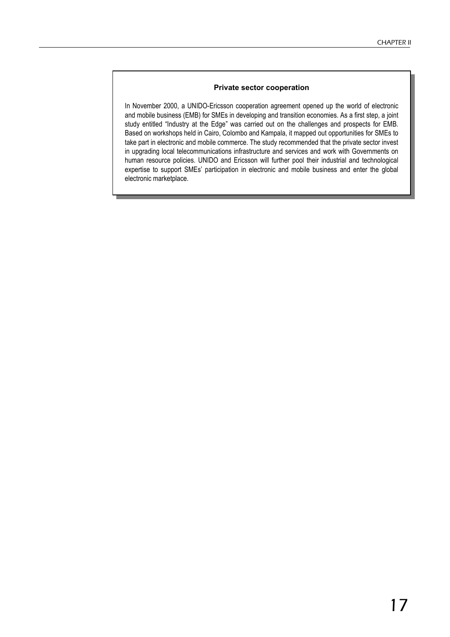#### **Private sector cooperation**

In November 2000, a UNIDO-Ericsson cooperation agreement opened up the world of electronic and mobile business (EMB) for SMEs in developing and transition economies. As a first step, a joint study entitled "Industry at the Edge" was carried out on the challenges and prospects for EMB. Based on workshops held in Cairo, Colombo and Kampala, it mapped out opportunities for SMEs to take part in electronic and mobile commerce. The study recommended that the private sector invest in upgrading local telecommunications infrastructure and services and work with Governments on human resource policies. UNIDO and Ericsson will further pool their industrial and technological expertise to support SMEs' participation in electronic and mobile business and enter the global electronic marketplace.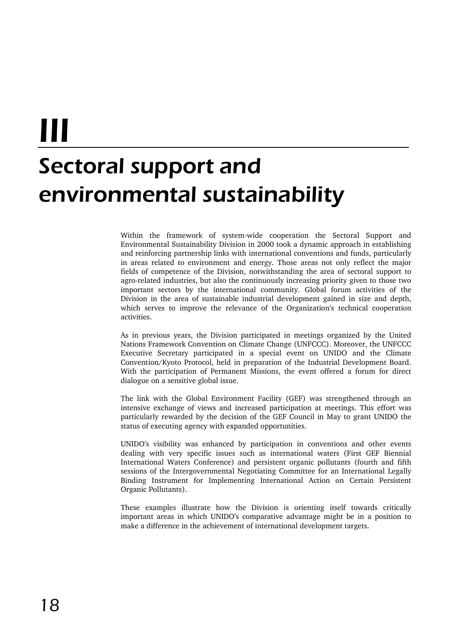# III Sectoral support and environmental sustainability

Within the framework of system-wide cooperation the Sectoral Support and Environmental Sustainability Division in 2000 took a dynamic approach in establishing and reinforcing partnership links with international conventions and funds, particularly in areas related to environment and energy. Those areas not only reflect the major fields of competence of the Division, notwithstanding the area of sectoral support to agro-related industries, but also the continuously increasing priority given to those two important sectors by the international community. Global forum activities of the Division in the area of sustainable industrial development gained in size and depth, which serves to improve the relevance of the Organization's technical cooperation activities.

As in previous years, the Division participated in meetings organized by the United Nations Framework Convention on Climate Change (UNFCCC). Moreover, the UNFCCC Executive Secretary participated in a special event on UNIDO and the Climate Convention/Kyoto Protocol, held in preparation of the Industrial Development Board. With the participation of Permanent Missions, the event offered a forum for direct dialogue on a sensitive global issue.

The link with the Global Environment Facility (GEF) was strengthened through an intensive exchange of views and increased participation at meetings. This effort was particularly rewarded by the decision of the GEF Council in May to grant UNIDO the status of executing agency with expanded opportunities.

UNIDO's visibility was enhanced by participation in conventions and other events dealing with very specific issues such as international waters (First GEF Biennial International Waters Conference) and persistent organic pollutants (fourth and fifth sessions of the Intergovernmental Negotiating Committee for an International Legally Binding Instrument for Implementing International Action on Certain Persistent Organic Pollutants).

These examples illustrate how the Division is orienting itself towards critically important areas in which UNIDO's comparative advantage might be in a position to make a difference in the achievement of international development targets.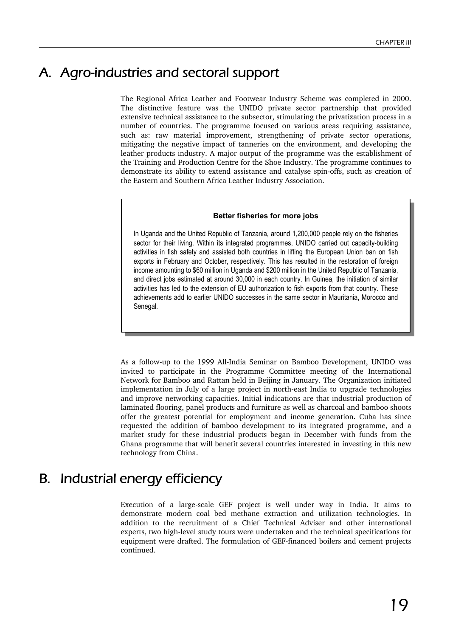# A. Agro-industries and sectoral support

The Regional Africa Leather and Footwear Industry Scheme was completed in 2000. The distinctive feature was the UNIDO private sector partnership that provided extensive technical assistance to the subsector, stimulating the privatization process in a number of countries. The programme focused on various areas requiring assistance, such as: raw material improvement, strengthening of private sector operations, mitigating the negative impact of tanneries on the environment, and developing the leather products industry. A major output of the programme was the establishment of the Training and Production Centre for the Shoe Industry. The programme continues to demonstrate its ability to extend assistance and catalyse spin-offs, such as creation of the Eastern and Southern Africa Leather Industry Association.

#### **Better fisheries for more jobs**

In Uganda and the United Republic of Tanzania, around 1,200,000 people rely on the fisheries sector for their living. Within its integrated programmes, UNIDO carried out capacity-building activities in fish safety and assisted both countries in lifting the European Union ban on fish exports in February and October, respectively. This has resulted in the restoration of foreign income amounting to \$60 million in Uganda and \$200 million in the United Republic of Tanzania, and direct jobs estimated at around 30,000 in each country. In Guinea, the initiation of similar activities has led to the extension of EU authorization to fish exports from that country. These achievements add to earlier UNIDO successes in the same sector in Mauritania, Morocco and Senegal.

As a follow-up to the 1999 All-India Seminar on Bamboo Development, UNIDO was invited to participate in the Programme Committee meeting of the International Network for Bamboo and Rattan held in Beijing in January. The Organization initiated implementation in July of a large project in north-east India to upgrade technologies and improve networking capacities. Initial indications are that industrial production of laminated flooring, panel products and furniture as well as charcoal and bamboo shoots offer the greatest potential for employment and income generation. Cuba has since requested the addition of bamboo development to its integrated programme, and a market study for these industrial products began in December with funds from the Ghana programme that will benefit several countries interested in investing in this new technology from China.

# B. Industrial energy efficiency

Execution of a large-scale GEF project is well under way in India. It aims to demonstrate modern coal bed methane extraction and utilization technologies. In addition to the recruitment of a Chief Technical Adviser and other international experts, two high-level study tours were undertaken and the technical specifications for equipment were drafted. The formulation of GEF-financed boilers and cement projects continued.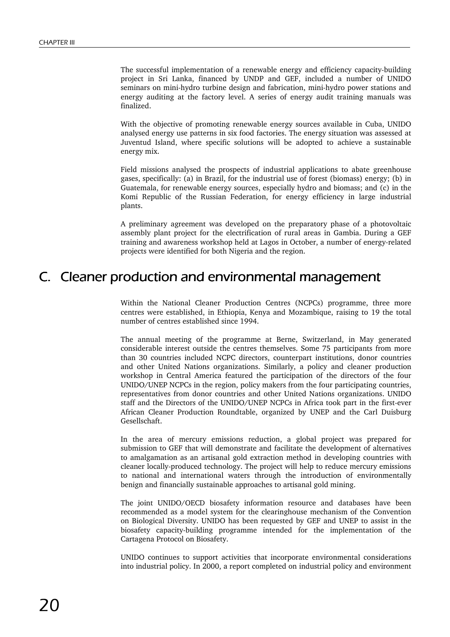The successful implementation of a renewable energy and efficiency capacity-building project in Sri Lanka, financed by UNDP and GEF, included a number of UNIDO seminars on mini-hydro turbine design and fabrication, mini-hydro power stations and energy auditing at the factory level. A series of energy audit training manuals was finalized.

With the objective of promoting renewable energy sources available in Cuba, UNIDO analysed energy use patterns in six food factories. The energy situation was assessed at Juventud Island, where specific solutions will be adopted to achieve a sustainable energy mix.

Field missions analysed the prospects of industrial applications to abate greenhouse gases, specifically: (a) in Brazil, for the industrial use of forest (biomass) energy; (b) in Guatemala, for renewable energy sources, especially hydro and biomass; and (c) in the Komi Republic of the Russian Federation, for energy efficiency in large industrial plants.

A preliminary agreement was developed on the preparatory phase of a photovoltaic assembly plant project for the electrification of rural areas in Gambia. During a GEF training and awareness workshop held at Lagos in October, a number of energy-related projects were identified for both Nigeria and the region.

### C. Cleaner production and environmental management C.

Within the National Cleaner Production Centres (NCPCs) programme, three more centres were established, in Ethiopia, Kenya and Mozambique, raising to 19 the total number of centres established since 1994.

The annual meeting of the programme at Berne, Switzerland, in May generated considerable interest outside the centres themselves. Some 75 participants from more than 30 countries included NCPC directors, counterpart institutions, donor countries and other United Nations organizations. Similarly, a policy and cleaner production workshop in Central America featured the participation of the directors of the four UNIDO/UNEP NCPCs in the region, policy makers from the four participating countries, representatives from donor countries and other United Nations organizations. UNIDO staff and the Directors of the UNIDO/UNEP NCPCs in Africa took part in the first-ever African Cleaner Production Roundtable, organized by UNEP and the Carl Duisburg Gesellschaft.

In the area of mercury emissions reduction, a global project was prepared for submission to GEF that will demonstrate and facilitate the development of alternatives to amalgamation as an artisanal gold extraction method in developing countries with cleaner locally-produced technology. The project will help to reduce mercury emissions to national and international waters through the introduction of environmentally benign and financially sustainable approaches to artisanal gold mining.

The joint UNIDO/OECD biosafety information resource and databases have been recommended as a model system for the clearinghouse mechanism of the Convention on Biological Diversity. UNIDO has been requested by GEF and UNEP to assist in the biosafety capacity-building programme intended for the implementation of the Cartagena Protocol on Biosafety.

UNIDO continues to support activities that incorporate environmental considerations into industrial policy. In 2000, a report completed on industrial policy and environment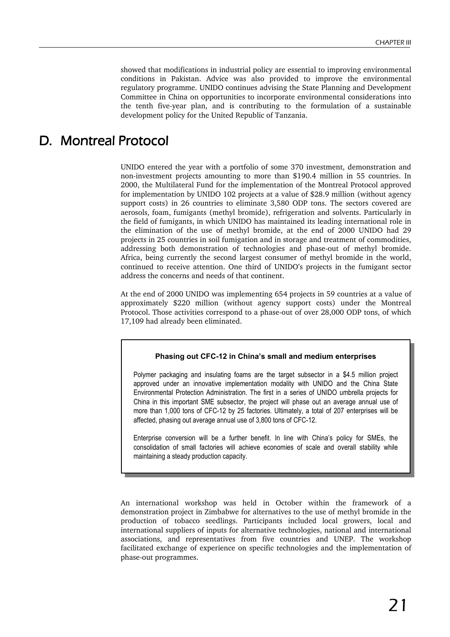showed that modifications in industrial policy are essential to improving environmental conditions in Pakistan. Advice was also provided to improve the environmental regulatory programme. UNIDO continues advising the State Planning and Development Committee in China on opportunities to incorporate environmental considerations into the tenth five-year plan, and is contributing to the formulation of a sustainable development policy for the United Republic of Tanzania.

### D. Montreal Protocol

UNIDO entered the year with a portfolio of some 370 investment, demonstration and non-investment projects amounting to more than \$190.4 million in 55 countries. In 2000, the Multilateral Fund for the implementation of the Montreal Protocol approved for implementation by UNIDO 102 projects at a value of \$28.9 million (without agency support costs) in 26 countries to eliminate 3,580 ODP tons. The sectors covered are aerosols, foam, fumigants (methyl bromide), refrigeration and solvents. Particularly in the field of fumigants, in which UNIDO has maintained its leading international role in the elimination of the use of methyl bromide, at the end of 2000 UNIDO had 29 projects in 25 countries in soil fumigation and in storage and treatment of commodities, addressing both demonstration of technologies and phase-out of methyl bromide. Africa, being currently the second largest consumer of methyl bromide in the world, continued to receive attention. One third of UNIDO's projects in the fumigant sector address the concerns and needs of that continent.

At the end of 2000 UNIDO was implementing 654 projects in 59 countries at a value of approximately \$220 million (without agency support costs) under the Montreal Protocol. Those activities correspond to a phase-out of over 28,000 ODP tons, of which 17,109 had already been eliminated.

#### **Phasing out CFC-12 in China's small and medium enterprises**

Polymer packaging and insulating foams are the target subsector in a \$4.5 million project approved under an innovative implementation modality with UNIDO and the China State Environmental Protection Administration. The first in a series of UNIDO umbrella projects for China in this important SME subsector, the project will phase out an average annual use of more than 1,000 tons of CFC-12 by 25 factories. Ultimately, a total of 207 enterprises will be affected, phasing out average annual use of 3,800 tons of CFC-12.

Enterprise conversion will be a further benefit. In line with China's policy for SMEs, the consolidation of small factories will achieve economies of scale and overall stability while maintaining a steady production capacity.

An international workshop was held in October within the framework of a demonstration project in Zimbabwe for alternatives to the use of methyl bromide in the production of tobacco seedlings. Participants included local growers, local and international suppliers of inputs for alternative technologies, national and international associations, and representatives from five countries and UNEP. The workshop facilitated exchange of experience on specific technologies and the implementation of phase-out programmes.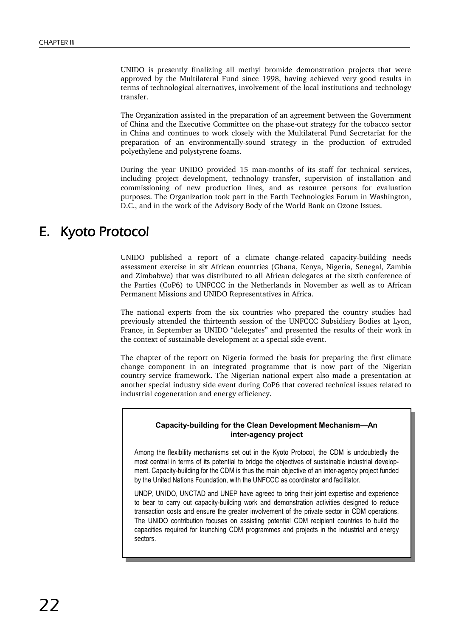UNIDO is presently finalizing all methyl bromide demonstration projects that were approved by the Multilateral Fund since 1998, having achieved very good results in terms of technological alternatives, involvement of the local institutions and technology transfer.

The Organization assisted in the preparation of an agreement between the Government of China and the Executive Committee on the phase-out strategy for the tobacco sector in China and continues to work closely with the Multilateral Fund Secretariat for the preparation of an environmentally-sound strategy in the production of extruded polyethylene and polystyrene foams.

During the year UNIDO provided 15 man-months of its staff for technical services, including project development, technology transfer, supervision of installation and commissioning of new production lines, and as resource persons for evaluation purposes. The Organization took part in the Earth Technologies Forum in Washington, D.C., and in the work of the Advisory Body of the World Bank on Ozone Issues.

# E. Kyoto Protocol E.

UNIDO published a report of a climate change-related capacity-building needs assessment exercise in six African countries (Ghana, Kenya, Nigeria, Senegal, Zambia and Zimbabwe) that was distributed to all African delegates at the sixth conference of the Parties (CoP6) to UNFCCC in the Netherlands in November as well as to African Permanent Missions and UNIDO Representatives in Africa.

The national experts from the six countries who prepared the country studies had previously attended the thirteenth session of the UNFCCC Subsidiary Bodies at Lyon, France, in September as UNIDO "delegates" and presented the results of their work in the context of sustainable development at a special side event.

The chapter of the report on Nigeria formed the basis for preparing the first climate change component in an integrated programme that is now part of the Nigerian country service framework. The Nigerian national expert also made a presentation at another special industry side event during CoP6 that covered technical issues related to industrial cogeneration and energy efficiency.

#### **Capacity-building for the Clean Development Mechanism—An inter-agency project**

Among the flexibility mechanisms set out in the Kyoto Protocol, the CDM is undoubtedly the most central in terms of its potential to bridge the objectives of sustainable industrial development. Capacity-building for the CDM is thus the main objective of an inter-agency project funded by the United Nations Foundation, with the UNFCCC as coordinator and facilitator.

UNDP, UNIDO, UNCTAD and UNEP have agreed to bring their joint expertise and experience to bear to carry out capacity-building work and demonstration activities designed to reduce transaction costs and ensure the greater involvement of the private sector in CDM operations. The UNIDO contribution focuses on assisting potential CDM recipient countries to build the capacities required for launching CDM programmes and projects in the industrial and energy sectors.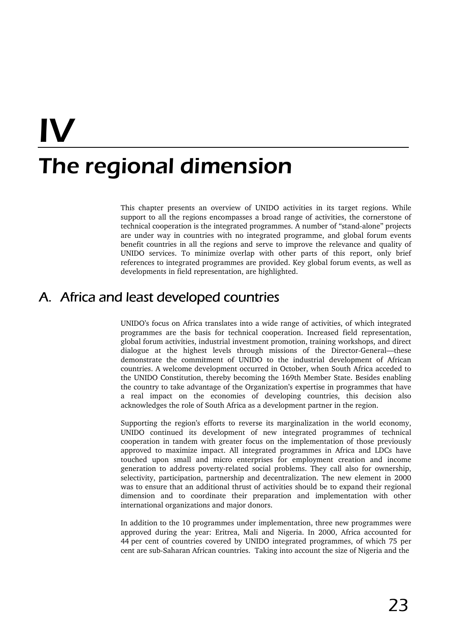# IV The regional dimension

This chapter presents an overview of UNIDO activities in its target regions. While support to all the regions encompasses a broad range of activities, the cornerstone of technical cooperation is the integrated programmes. A number of "stand-alone" projects are under way in countries with no integrated programme, and global forum events benefit countries in all the regions and serve to improve the relevance and quality of UNIDO services. To minimize overlap with other parts of this report, only brief references to integrated programmes are provided. Key global forum events, as well as developments in field representation, are highlighted.

# A. Africa and least developed countries

UNIDO's focus on Africa translates into a wide range of activities, of which integrated programmes are the basis for technical cooperation. Increased field representation, global forum activities, industrial investment promotion, training workshops, and direct dialogue at the highest levels through missions of the Director-General—these demonstrate the commitment of UNIDO to the industrial development of African countries. A welcome development occurred in October, when South Africa acceded to the UNIDO Constitution, thereby becoming the 169th Member State. Besides enabling the country to take advantage of the Organization's expertise in programmes that have a real impact on the economies of developing countries, this decision also acknowledges the role of South Africa as a development partner in the region.

Supporting the region's efforts to reverse its marginalization in the world economy, UNIDO continued its development of new integrated programmes of technical cooperation in tandem with greater focus on the implementation of those previously approved to maximize impact. All integrated programmes in Africa and LDCs have touched upon small and micro enterprises for employment creation and income generation to address poverty-related social problems. They call also for ownership, selectivity, participation, partnership and decentralization. The new element in 2000 was to ensure that an additional thrust of activities should be to expand their regional dimension and to coordinate their preparation and implementation with other international organizations and major donors.

In addition to the 10 programmes under implementation, three new programmes were approved during the year: Eritrea, Mali and Nigeria. In 2000, Africa accounted for 44 per cent of countries covered by UNIDO integrated programmes, of which 75 per cent are sub-Saharan African countries. Taking into account the size of Nigeria and the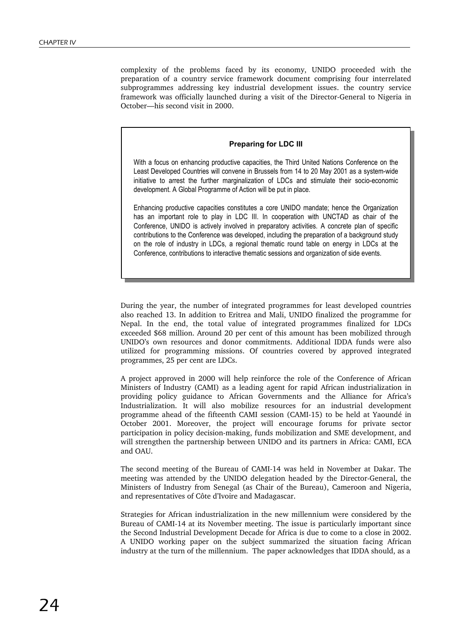complexity of the problems faced by its economy, UNIDO proceeded with the preparation of a country service framework document comprising four interrelated subprogrammes addressing key industrial development issues. the country service framework was officially launched during a visit of the Director-General to Nigeria in October—his second visit in 2000.

#### **Preparing for LDC III**

With a focus on enhancing productive capacities, the Third United Nations Conference on the Least Developed Countries will convene in Brussels from 14 to 20 May 2001 as a system-wide initiative to arrest the further marginalization of LDCs and stimulate their socio-economic development. A Global Programme of Action will be put in place.

Enhancing productive capacities constitutes a core UNIDO mandate; hence the Organization has an important role to play in LDC III. In cooperation with UNCTAD as chair of the Conference, UNIDO is actively involved in preparatory activities. A concrete plan of specific contributions to the Conference was developed, including the preparation of a background study on the role of industry in LDCs, a regional thematic round table on energy in LDCs at the Conference, contributions to interactive thematic sessions and organization of side events.

During the year, the number of integrated programmes for least developed countries also reached 13. In addition to Eritrea and Mali, UNIDO finalized the programme for Nepal. In the end, the total value of integrated programmes finalized for LDCs exceeded \$68 million. Around 20 per cent of this amount has been mobilized through UNIDO's own resources and donor commitments. Additional IDDA funds were also utilized for programming missions. Of countries covered by approved integrated programmes, 25 per cent are LDCs.

A project approved in 2000 will help reinforce the role of the Conference of African Ministers of Industry (CAMI) as a leading agent for rapid African industrialization in providing policy guidance to African Governments and the Alliance for Africa's Industrialization. It will also mobilize resources for an industrial development programme ahead of the fifteenth CAMI session (CAMI-15) to be held at Yaoundé in October 2001. Moreover, the project will encourage forums for private sector participation in policy decision-making, funds mobilization and SME development, and will strengthen the partnership between UNIDO and its partners in Africa: CAMI, ECA and OAU.

The second meeting of the Bureau of CAMI-14 was held in November at Dakar. The meeting was attended by the UNIDO delegation headed by the Director-General, the Ministers of Industry from Senegal (as Chair of the Bureau), Cameroon and Nigeria, and representatives of Côte d'Ivoire and Madagascar.

Strategies for African industrialization in the new millennium were considered by the Bureau of CAMI-14 at its November meeting. The issue is particularly important since the Second Industrial Development Decade for Africa is due to come to a close in 2002. A UNIDO working paper on the subject summarized the situation facing African industry at the turn of the millennium. The paper acknowledges that IDDA should, as a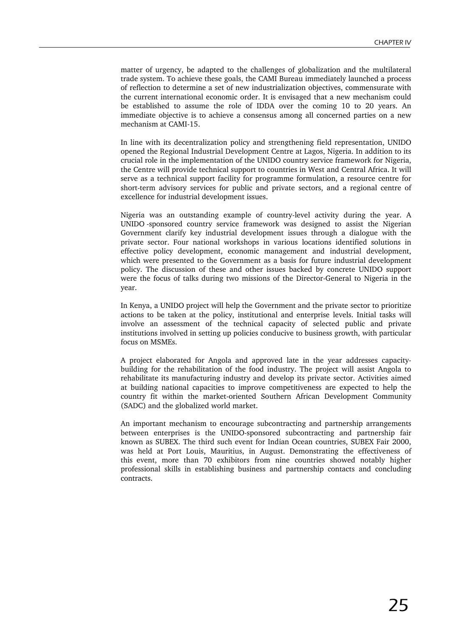matter of urgency, be adapted to the challenges of globalization and the multilateral trade system. To achieve these goals, the CAMI Bureau immediately launched a process of reflection to determine a set of new industrialization objectives, commensurate with the current international economic order. It is envisaged that a new mechanism could be established to assume the role of IDDA over the coming 10 to 20 years. An immediate objective is to achieve a consensus among all concerned parties on a new mechanism at CAMI-15.

In line with its decentralization policy and strengthening field representation, UNIDO opened the Regional Industrial Development Centre at Lagos, Nigeria. In addition to its crucial role in the implementation of the UNIDO country service framework for Nigeria, the Centre will provide technical support to countries in West and Central Africa. It will serve as a technical support facility for programme formulation, a resource centre for short-term advisory services for public and private sectors, and a regional centre of excellence for industrial development issues.

Nigeria was an outstanding example of country-level activity during the year. A UNIDO -sponsored country service framework was designed to assist the Nigerian Government clarify key industrial development issues through a dialogue with the private sector. Four national workshops in various locations identified solutions in effective policy development, economic management and industrial development, which were presented to the Government as a basis for future industrial development policy. The discussion of these and other issues backed by concrete UNIDO support were the focus of talks during two missions of the Director-General to Nigeria in the year.

In Kenya, a UNIDO project will help the Government and the private sector to prioritize actions to be taken at the policy, institutional and enterprise levels. Initial tasks will involve an assessment of the technical capacity of selected public and private institutions involved in setting up policies conducive to business growth, with particular focus on MSMEs.

A project elaborated for Angola and approved late in the year addresses capacitybuilding for the rehabilitation of the food industry. The project will assist Angola to rehabilitate its manufacturing industry and develop its private sector. Activities aimed at building national capacities to improve competitiveness are expected to help the country fit within the market-oriented Southern African Development Community (SADC) and the globalized world market.

An important mechanism to encourage subcontracting and partnership arrangements between enterprises is the UNIDO-sponsored subcontracting and partnership fair known as SUBEX. The third such event for Indian Ocean countries, SUBEX Fair 2000, was held at Port Louis, Mauritius, in August. Demonstrating the effectiveness of this event, more than 70 exhibitors from nine countries showed notably higher professional skills in establishing business and partnership contacts and concluding contracts.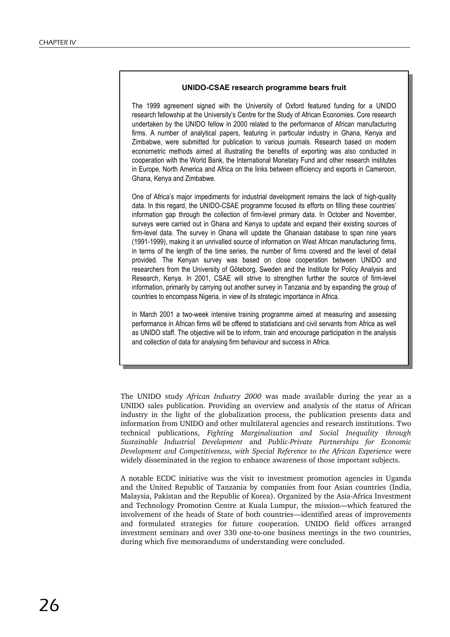#### **UNIDO-CSAE research programme bears fruit**

The 1999 agreement signed with the University of Oxford featured funding for a UNIDO research fellowship at the University's Centre for the Study of African Economies. Core research undertaken by the UNIDO fellow in 2000 related to the performance of African manufacturing firms. A number of analytical papers, featuring in particular industry in Ghana, Kenya and Zimbabwe, were submitted for publication to various journals. Research based on modern econometric methods aimed at illustrating the benefits of exporting was also conducted in cooperation with the World Bank, the International Monetary Fund and other research institutes in Europe, North America and Africa on the links between efficiency and exports in Cameroon, Ghana, Kenya and Zimbabwe.

One of Africa's major impediments for industrial development remains the lack of high-quality data. In this regard, the UNIDO-CSAE programme focused its efforts on filling these countries' information gap through the collection of firm-level primary data. In October and November, surveys were carried out in Ghana and Kenya to update and expand their existing sources of firm-level data. The survey in Ghana will update the Ghanaian database to span nine years (1991-1999), making it an unrivalled source of information on West African manufacturing firms, in terms of the length of the time series, the number of firms covered and the level of detail provided. The Kenyan survey was based on close cooperation between UNIDO and researchers from the University of Göteborg, Sweden and the Institute for Policy Analysis and Research, Kenya. In 2001, CSAE will strive to strengthen further the source of firm-level information, primarily by carrying out another survey in Tanzania and by expanding the group of countries to encompass Nigeria, in view of its strategic importance in Africa.

In March 2001 a two-week intensive training programme aimed at measuring and assessing performance in African firms will be offered to statisticians and civil servants from Africa as well as UNIDO staff. The objective will be to inform, train and encourage participation in the analysis and collection of data for analysing firm behaviour and success in Africa.

The UNIDO study *African Industry 2000* was made available during the year as a UNIDO sales publication. Providing an overview and analysis of the status of African industry in the light of the globalization process, the publication presents data and information from UNIDO and other multilateral agencies and research institutions. Two technical publications, *Fighting Marginalization and Social Inequality through Sustainable Industrial Development* and *Public-Private Partnerships for Economic Development and Competitiveness, with Special Reference to the African Experience* were widely disseminated in the region to enhance awareness of those important subjects.

A notable ECDC initiative was the visit to investment promotion agencies in Uganda and the United Republic of Tanzania by companies from four Asian countries (India, Malaysia, Pakistan and the Republic of Korea). Organized by the Asia-Africa Investment and Technology Promotion Centre at Kuala Lumpur, the mission—which featured the involvement of the heads of State of both countries—identified areas of improvements and formulated strategies for future cooperation. UNIDO field offices arranged investment seminars and over 330 one-to-one business meetings in the two countries, during which five memorandums of understanding were concluded.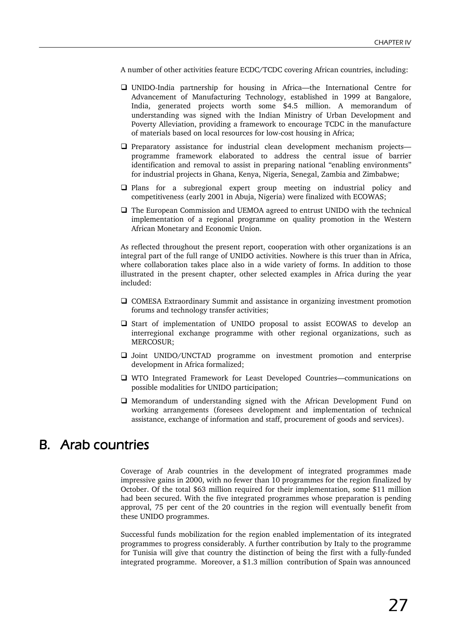A number of other activities feature ECDC/TCDC covering African countries, including:

- UNIDO-India partnership for housing in Africa—the International Centre for Advancement of Manufacturing Technology, established in 1999 at Bangalore, India, generated projects worth some \$4.5 million. A memorandum of understanding was signed with the Indian Ministry of Urban Development and Poverty Alleviation, providing a framework to encourage TCDC in the manufacture of materials based on local resources for low-cost housing in Africa;
- Preparatory assistance for industrial clean development mechanism projects programme framework elaborated to address the central issue of barrier identification and removal to assist in preparing national "enabling environments" for industrial projects in Ghana, Kenya, Nigeria, Senegal, Zambia and Zimbabwe;
- Plans for a subregional expert group meeting on industrial policy and competitiveness (early 2001 in Abuja, Nigeria) were finalized with ECOWAS;
- $\Box$  The European Commission and UEMOA agreed to entrust UNIDO with the technical implementation of a regional programme on quality promotion in the Western African Monetary and Economic Union.

As reflected throughout the present report, cooperation with other organizations is an integral part of the full range of UNIDO activities. Nowhere is this truer than in Africa, where collaboration takes place also in a wide variety of forms. In addition to those illustrated in the present chapter, other selected examples in Africa during the year included:

- COMESA Extraordinary Summit and assistance in organizing investment promotion forums and technology transfer activities;
- $\square$  Start of implementation of UNIDO proposal to assist ECOWAS to develop an interregional exchange programme with other regional organizations, such as MERCOSUR;
- Joint UNIDO/UNCTAD programme on investment promotion and enterprise development in Africa formalized;
- WTO Integrated Framework for Least Developed Countries—communications on possible modalities for UNIDO participation;
- Memorandum of understanding signed with the African Development Fund on working arrangements (foresees development and implementation of technical assistance, exchange of information and staff, procurement of goods and services).

### B. Arab countries

Coverage of Arab countries in the development of integrated programmes made impressive gains in 2000, with no fewer than 10 programmes for the region finalized by October. Of the total \$63 million required for their implementation, some \$11 million had been secured. With the five integrated programmes whose preparation is pending approval, 75 per cent of the 20 countries in the region will eventually benefit from these UNIDO programmes.

Successful funds mobilization for the region enabled implementation of its integrated programmes to progress considerably. A further contribution by Italy to the programme for Tunisia will give that country the distinction of being the first with a fully-funded integrated programme. Moreover, a \$1.3 million contribution of Spain was announced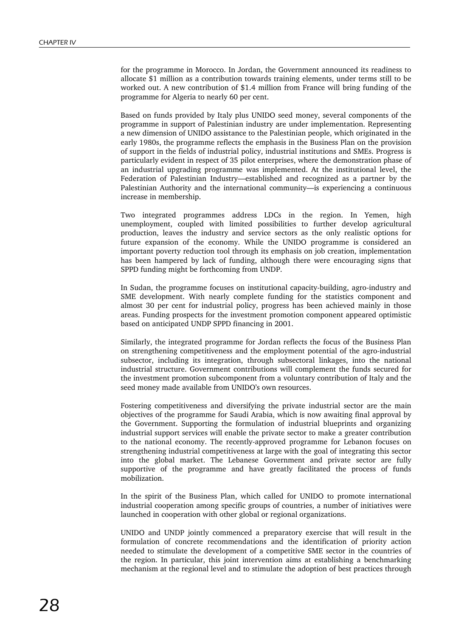for the programme in Morocco. In Jordan, the Government announced its readiness to allocate \$1 million as a contribution towards training elements, under terms still to be worked out. A new contribution of \$1.4 million from France will bring funding of the programme for Algeria to nearly 60 per cent.

Based on funds provided by Italy plus UNIDO seed money, several components of the programme in support of Palestinian industry are under implementation. Representing a new dimension of UNIDO assistance to the Palestinian people, which originated in the early 1980s, the programme reflects the emphasis in the Business Plan on the provision of support in the fields of industrial policy, industrial institutions and SMEs. Progress is particularly evident in respect of 35 pilot enterprises, where the demonstration phase of an industrial upgrading programme was implemented. At the institutional level, the Federation of Palestinian Industry—established and recognized as a partner by the Palestinian Authority and the international community—is experiencing a continuous increase in membership.

Two integrated programmes address LDCs in the region. In Yemen, high unemployment, coupled with limited possibilities to further develop agricultural production, leaves the industry and service sectors as the only realistic options for future expansion of the economy. While the UNIDO programme is considered an important poverty reduction tool through its emphasis on job creation, implementation has been hampered by lack of funding, although there were encouraging signs that SPPD funding might be forthcoming from UNDP.

In Sudan, the programme focuses on institutional capacity-building, agro-industry and SME development. With nearly complete funding for the statistics component and almost 30 per cent for industrial policy, progress has been achieved mainly in those areas. Funding prospects for the investment promotion component appeared optimistic based on anticipated UNDP SPPD financing in 2001.

Similarly, the integrated programme for Jordan reflects the focus of the Business Plan on strengthening competitiveness and the employment potential of the agro-industrial subsector, including its integration, through subsectoral linkages, into the national industrial structure. Government contributions will complement the funds secured for the investment promotion subcomponent from a voluntary contribution of Italy and the seed money made available from UNIDO's own resources.

Fostering competitiveness and diversifying the private industrial sector are the main objectives of the programme for Saudi Arabia, which is now awaiting final approval by the Government. Supporting the formulation of industrial blueprints and organizing industrial support services will enable the private sector to make a greater contribution to the national economy. The recently-approved programme for Lebanon focuses on strengthening industrial competitiveness at large with the goal of integrating this sector into the global market. The Lebanese Government and private sector are fully supportive of the programme and have greatly facilitated the process of funds mobilization.

In the spirit of the Business Plan, which called for UNIDO to promote international industrial cooperation among specific groups of countries, a number of initiatives were launched in cooperation with other global or regional organizations.

UNIDO and UNDP jointly commenced a preparatory exercise that will result in the formulation of concrete recommendations and the identification of priority action needed to stimulate the development of a competitive SME sector in the countries of the region. In particular, this joint intervention aims at establishing a benchmarking mechanism at the regional level and to stimulate the adoption of best practices through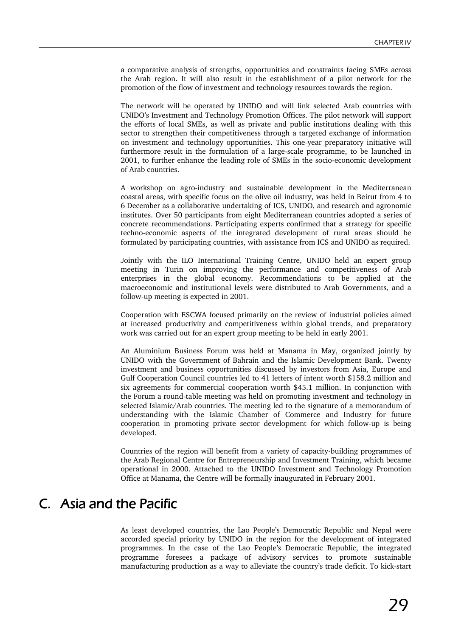a comparative analysis of strengths, opportunities and constraints facing SMEs across the Arab region. It will also result in the establishment of a pilot network for the promotion of the flow of investment and technology resources towards the region.

The network will be operated by UNIDO and will link selected Arab countries with UNIDO's Investment and Technology Promotion Offices. The pilot network will support the efforts of local SMEs, as well as private and public institutions dealing with this sector to strengthen their competitiveness through a targeted exchange of information on investment and technology opportunities. This one-year preparatory initiative will furthermore result in the formulation of a large-scale programme, to be launched in 2001, to further enhance the leading role of SMEs in the socio-economic development of Arab countries.

A workshop on agro-industry and sustainable development in the Mediterranean coastal areas, with specific focus on the olive oil industry, was held in Beirut from 4 to 6 December as a collaborative undertaking of ICS, UNIDO, and research and agronomic institutes. Over 50 participants from eight Mediterranean countries adopted a series of concrete recommendations. Participating experts confirmed that a strategy for specific techno-economic aspects of the integrated development of rural areas should be formulated by participating countries, with assistance from ICS and UNIDO as required.

Jointly with the ILO International Training Centre, UNIDO held an expert group meeting in Turin on improving the performance and competitiveness of Arab enterprises in the global economy. Recommendations to be applied at the macroeconomic and institutional levels were distributed to Arab Governments, and a follow-up meeting is expected in 2001.

Cooperation with ESCWA focused primarily on the review of industrial policies aimed at increased productivity and competitiveness within global trends, and preparatory work was carried out for an expert group meeting to be held in early 2001.

An Aluminium Business Forum was held at Manama in May, organized jointly by UNIDO with the Government of Bahrain and the Islamic Development Bank. Twenty investment and business opportunities discussed by investors from Asia, Europe and Gulf Cooperation Council countries led to 41 letters of intent worth \$158.2 million and six agreements for commercial cooperation worth \$45.1 million. In conjunction with the Forum a round-table meeting was held on promoting investment and technology in selected Islamic/Arab countries. The meeting led to the signature of a memorandum of understanding with the Islamic Chamber of Commerce and Industry for future cooperation in promoting private sector development for which follow-up is being developed.

Countries of the region will benefit from a variety of capacity-building programmes of the Arab Regional Centre for Entrepreneurship and Investment Training, which became operational in 2000. Attached to the UNIDO Investment and Technology Promotion Office at Manama, the Centre will be formally inaugurated in February 2001.

# C. Asia and the Pacific

As least developed countries, the Lao People's Democratic Republic and Nepal were accorded special priority by UNIDO in the region for the development of integrated programmes. In the case of the Lao People's Democratic Republic, the integrated programme foresees a package of advisory services to promote sustainable manufacturing production as a way to alleviate the country's trade deficit. To kick-start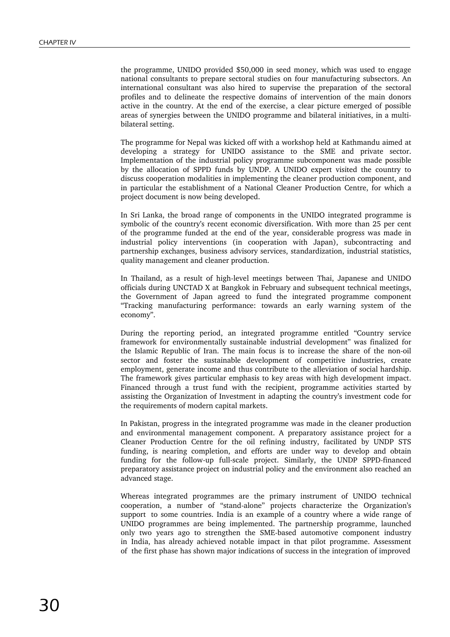the programme, UNIDO provided \$50,000 in seed money, which was used to engage national consultants to prepare sectoral studies on four manufacturing subsectors. An international consultant was also hired to supervise the preparation of the sectoral profiles and to delineate the respective domains of intervention of the main donors active in the country. At the end of the exercise, a clear picture emerged of possible areas of synergies between the UNIDO programme and bilateral initiatives, in a multibilateral setting.

The programme for Nepal was kicked off with a workshop held at Kathmandu aimed at developing a strategy for UNIDO assistance to the SME and private sector. Implementation of the industrial policy programme subcomponent was made possible by the allocation of SPPD funds by UNDP. A UNIDO expert visited the country to discuss cooperation modalities in implementing the cleaner production component, and in particular the establishment of a National Cleaner Production Centre, for which a project document is now being developed.

In Sri Lanka, the broad range of components in the UNIDO integrated programme is symbolic of the country's recent economic diversification. With more than 25 per cent of the programme funded at the end of the year, considerable progress was made in industrial policy interventions (in cooperation with Japan), subcontracting and partnership exchanges, business advisory services, standardization, industrial statistics, quality management and cleaner production.

In Thailand, as a result of high-level meetings between Thai, Japanese and UNIDO officials during UNCTAD X at Bangkok in February and subsequent technical meetings, the Government of Japan agreed to fund the integrated programme component "Tracking manufacturing performance: towards an early warning system of the economy".

During the reporting period, an integrated programme entitled "Country service framework for environmentally sustainable industrial development" was finalized for the Islamic Republic of Iran. The main focus is to increase the share of the non-oil sector and foster the sustainable development of competitive industries, create employment, generate income and thus contribute to the alleviation of social hardship. The framework gives particular emphasis to key areas with high development impact. Financed through a trust fund with the recipient, programme activities started by assisting the Organization of Investment in adapting the country's investment code for the requirements of modern capital markets.

In Pakistan, progress in the integrated programme was made in the cleaner production and environmental management component. A preparatory assistance project for a Cleaner Production Centre for the oil refining industry, facilitated by UNDP STS funding, is nearing completion, and efforts are under way to develop and obtain funding for the follow-up full-scale project. Similarly, the UNDP SPPD-financed preparatory assistance project on industrial policy and the environment also reached an advanced stage.

Whereas integrated programmes are the primary instrument of UNIDO technical cooperation, a number of "stand-alone" projects characterize the Organization's support to some countries. India is an example of a country where a wide range of UNIDO programmes are being implemented. The partnership programme, launched only two years ago to strengthen the SME-based automotive component industry in India, has already achieved notable impact in that pilot programme. Assessment of the first phase has shown major indications of success in the integration of improved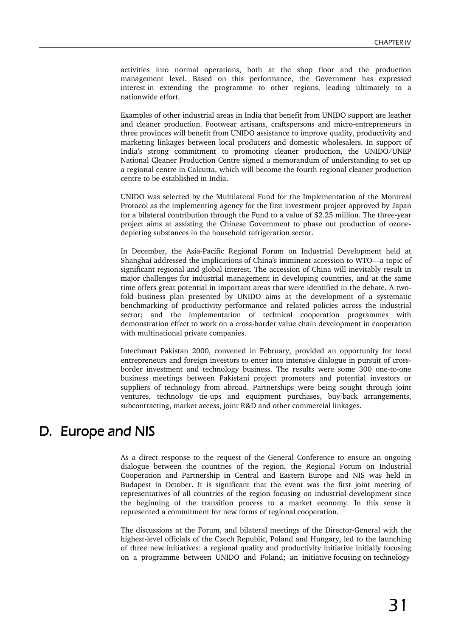activities into normal operations, both at the shop floor and the production management level. Based on this performance, the Government has expressed interest in extending the programme to other regions, leading ultimately to a nationwide effort.

Examples of other industrial areas in India that benefit from UNIDO support are leather and cleaner production. Footwear artisans, craftspersons and micro-entrepreneurs in three provinces will benefit from UNIDO assistance to improve quality, productivity and marketing linkages between local producers and domestic wholesalers. In support of India's strong commitment to promoting cleaner production, the UNIDO/UNEP National Cleaner Production Centre signed a memorandum of understanding to set up a regional centre in Calcutta, which will become the fourth regional cleaner production centre to be established in India.

UNIDO was selected by the Multilateral Fund for the Implementation of the Montreal Protocol as the implementing agency for the first investment project approved by Japan for a bilateral contribution through the Fund to a value of \$2.25 million. The three-year project aims at assisting the Chinese Government to phase out production of ozonedepleting substances in the household refrigeration sector.

In December, the Asia-Pacific Regional Forum on Industrial Development held at Shanghai addressed the implications of China's imminent accession to WTO—a topic of significant regional and global interest. The accession of China will inevitably result in major challenges for industrial management in developing countries, and at the same time offers great potential in important areas that were identified in the debate. A twofold business plan presented by UNIDO aims at the development of a systematic benchmarking of productivity performance and related policies across the industrial sector; and the implementation of technical cooperation programmes with demonstration effect to work on a cross-border value chain development in cooperation with multinational private companies.

Intechmart Pakistan 2000, convened in February, provided an opportunity for local entrepreneurs and foreign investors to enter into intensive dialogue in pursuit of crossborder investment and technology business. The results were some 300 one-to-one business meetings between Pakistani project promoters and potential investors or suppliers of technology from abroad. Partnerships were being sought through joint ventures, technology tie-ups and equipment purchases, buy-back arrangements, subcontracting, market access, joint R&D and other commercial linkages.

# D. Europe and NIS

As a direct response to the request of the General Conference to ensure an ongoing dialogue between the countries of the region, the Regional Forum on Industrial Cooperation and Partnership in Central and Eastern Europe and NIS was held in Budapest in October. It is significant that the event was the first joint meeting of representatives of all countries of the region focusing on industrial development since the beginning of the transition process to a market economy. In this sense it represented a commitment for new forms of regional cooperation.

The discussions at the Forum, and bilateral meetings of the Director-General with the highest-level officials of the Czech Republic, Poland and Hungary, led to the launching of three new initiatives: a regional quality and productivity initiative initially focusing on a programme between UNIDO and Poland; an initiative focusing on technology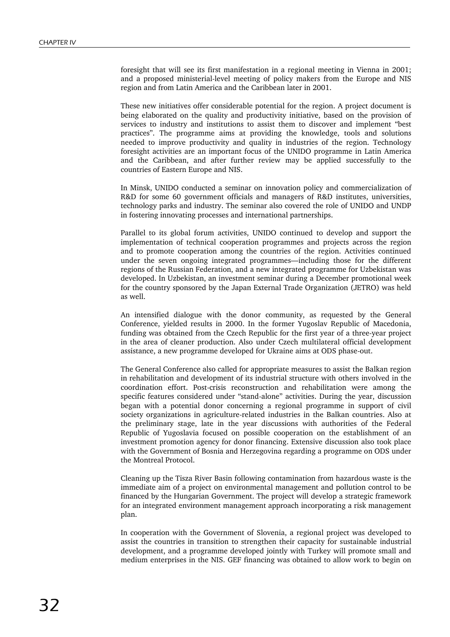foresight that will see its first manifestation in a regional meeting in Vienna in 2001; and a proposed ministerial-level meeting of policy makers from the Europe and NIS region and from Latin America and the Caribbean later in 2001.

These new initiatives offer considerable potential for the region. A project document is being elaborated on the quality and productivity initiative, based on the provision of services to industry and institutions to assist them to discover and implement "best practices". The programme aims at providing the knowledge, tools and solutions needed to improve productivity and quality in industries of the region. Technology foresight activities are an important focus of the UNIDO programme in Latin America and the Caribbean, and after further review may be applied successfully to the countries of Eastern Europe and NIS.

In Minsk, UNIDO conducted a seminar on innovation policy and commercialization of R&D for some 60 government officials and managers of R&D institutes, universities, technology parks and industry. The seminar also covered the role of UNIDO and UNDP in fostering innovating processes and international partnerships.

Parallel to its global forum activities, UNIDO continued to develop and support the implementation of technical cooperation programmes and projects across the region and to promote cooperation among the countries of the region. Activities continued under the seven ongoing integrated programmes—including those for the different regions of the Russian Federation, and a new integrated programme for Uzbekistan was developed. In Uzbekistan, an investment seminar during a December promotional week for the country sponsored by the Japan External Trade Organization (JETRO) was held as well.

An intensified dialogue with the donor community, as requested by the General Conference, yielded results in 2000. In the former Yugoslav Republic of Macedonia, funding was obtained from the Czech Republic for the first year of a three-year project in the area of cleaner production. Also under Czech multilateral official development assistance, a new programme developed for Ukraine aims at ODS phase-out.

The General Conference also called for appropriate measures to assist the Balkan region in rehabilitation and development of its industrial structure with others involved in the coordination effort. Post-crisis reconstruction and rehabilitation were among the specific features considered under "stand-alone" activities. During the year, discussion began with a potential donor concerning a regional programme in support of civil society organizations in agriculture-related industries in the Balkan countries. Also at the preliminary stage, late in the year discussions with authorities of the Federal Republic of Yugoslavia focused on possible cooperation on the establishment of an investment promotion agency for donor financing. Extensive discussion also took place with the Government of Bosnia and Herzegovina regarding a programme on ODS under the Montreal Protocol.

Cleaning up the Tisza River Basin following contamination from hazardous waste is the immediate aim of a project on environmental management and pollution control to be financed by the Hungarian Government. The project will develop a strategic framework for an integrated environment management approach incorporating a risk management plan.

In cooperation with the Government of Slovenia, a regional project was developed to assist the countries in transition to strengthen their capacity for sustainable industrial development, and a programme developed jointly with Turkey will promote small and medium enterprises in the NIS. GEF financing was obtained to allow work to begin on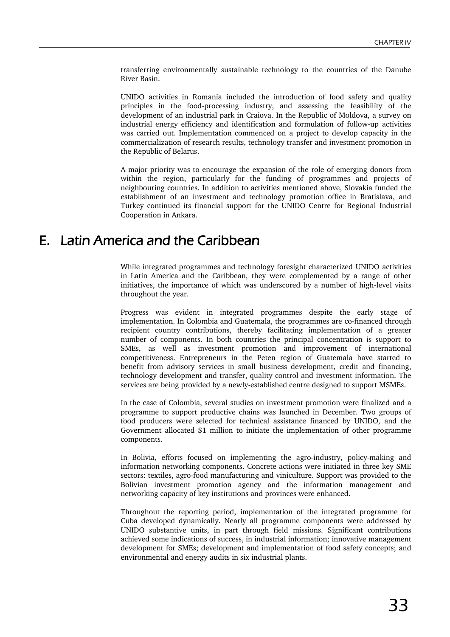transferring environmentally sustainable technology to the countries of the Danube River Basin.

UNIDO activities in Romania included the introduction of food safety and quality principles in the food-processing industry, and assessing the feasibility of the development of an industrial park in Craiova. In the Republic of Moldova, a survey on industrial energy efficiency and identification and formulation of follow-up activities was carried out. Implementation commenced on a project to develop capacity in the commercialization of research results, technology transfer and investment promotion in the Republic of Belarus.

A major priority was to encourage the expansion of the role of emerging donors from within the region, particularly for the funding of programmes and projects of neighbouring countries. In addition to activities mentioned above, Slovakia funded the establishment of an investment and technology promotion office in Bratislava, and Turkey continued its financial support for the UNIDO Centre for Regional Industrial Cooperation in Ankara.

## E. Latin America and the Caribbean

While integrated programmes and technology foresight characterized UNIDO activities in Latin America and the Caribbean, they were complemented by a range of other initiatives, the importance of which was underscored by a number of high-level visits throughout the year.

Progress was evident in integrated programmes despite the early stage of implementation. In Colombia and Guatemala, the programmes are co-financed through recipient country contributions, thereby facilitating implementation of a greater number of components. In both countries the principal concentration is support to SMEs, as well as investment promotion and improvement of international competitiveness. Entrepreneurs in the Peten region of Guatemala have started to benefit from advisory services in small business development, credit and financing, technology development and transfer, quality control and investment information. The services are being provided by a newly-established centre designed to support MSMEs.

In the case of Colombia, several studies on investment promotion were finalized and a programme to support productive chains was launched in December. Two groups of food producers were selected for technical assistance financed by UNIDO, and the Government allocated \$1 million to initiate the implementation of other programme components.

In Bolivia, efforts focused on implementing the agro-industry, policy-making and information networking components. Concrete actions were initiated in three key SME sectors: textiles, agro-food manufacturing and viniculture. Support was provided to the Bolivian investment promotion agency and the information management and networking capacity of key institutions and provinces were enhanced.

Throughout the reporting period, implementation of the integrated programme for Cuba developed dynamically. Nearly all programme components were addressed by UNIDO substantive units, in part through field missions. Significant contributions achieved some indications of success, in industrial information; innovative management development for SMEs; development and implementation of food safety concepts; and environmental and energy audits in six industrial plants.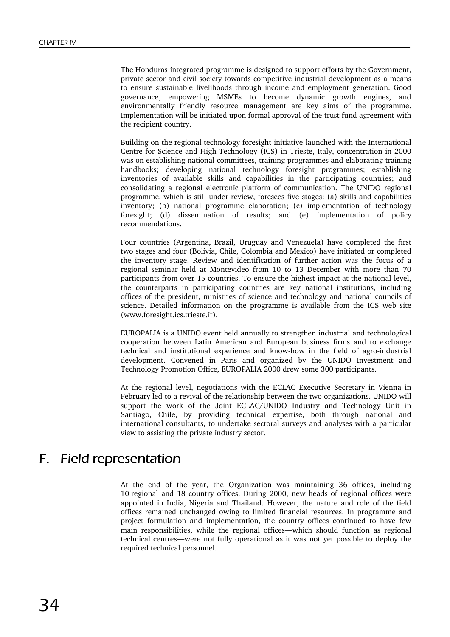The Honduras integrated programme is designed to support efforts by the Government, private sector and civil society towards competitive industrial development as a means to ensure sustainable livelihoods through income and employment generation. Good governance, empowering MSMEs to become dynamic growth engines, and environmentally friendly resource management are key aims of the programme. Implementation will be initiated upon formal approval of the trust fund agreement with the recipient country.

Building on the regional technology foresight initiative launched with the International Centre for Science and High Technology (ICS) in Trieste, Italy, concentration in 2000 was on establishing national committees, training programmes and elaborating training handbooks; developing national technology foresight programmes; establishing inventories of available skills and capabilities in the participating countries; and consolidating a regional electronic platform of communication. The UNIDO regional programme, which is still under review, foresees five stages: (a) skills and capabilities inventory; (b) national programme elaboration; (c) implementation of technology foresight; (d) dissemination of results; and (e) implementation of policy recommendations.

Four countries (Argentina, Brazil, Uruguay and Venezuela) have completed the first two stages and four (Bolivia, Chile, Colombia and Mexico) have initiated or completed the inventory stage. Review and identification of further action was the focus of a regional seminar held at Montevideo from 10 to 13 December with more than 70 participants from over 15 countries. To ensure the highest impact at the national level, the counterparts in participating countries are key national institutions, including offices of the president, ministries of science and technology and national councils of science. Detailed information on the programme is available from the ICS web site (www.foresight.ics.trieste.it).

EUROPALIA is a UNIDO event held annually to strengthen industrial and technological cooperation between Latin American and European business firms and to exchange technical and institutional experience and know-how in the field of agro-industrial development. Convened in Paris and organized by the UNIDO Investment and Technology Promotion Office, EUROPALIA 2000 drew some 300 participants.

At the regional level, negotiations with the ECLAC Executive Secretary in Vienna in February led to a revival of the relationship between the two organizations. UNIDO will support the work of the Joint ECLAC/UNIDO Industry and Technology Unit in Santiago, Chile, by providing technical expertise, both through national and international consultants, to undertake sectoral surveys and analyses with a particular view to assisting the private industry sector.

## F. Field representation

At the end of the year, the Organization was maintaining 36 offices, including 10 regional and 18 country offices. During 2000, new heads of regional offices were appointed in India, Nigeria and Thailand. However, the nature and role of the field offices remained unchanged owing to limited financial resources. In programme and project formulation and implementation, the country offices continued to have few main responsibilities, while the regional offices—which should function as regional technical centres—were not fully operational as it was not yet possible to deploy the required technical personnel.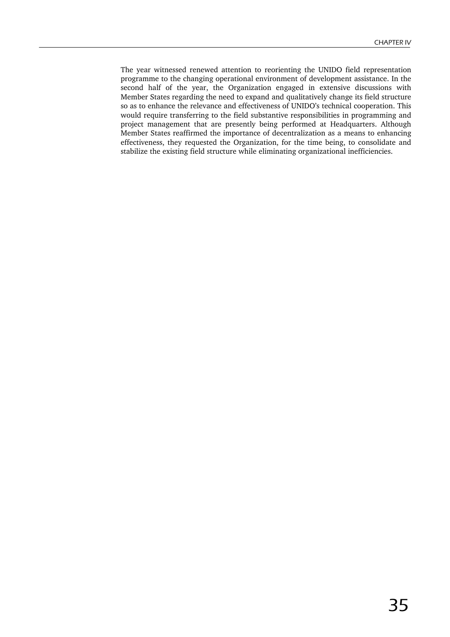The year witnessed renewed attention to reorienting the UNIDO field representation programme to the changing operational environment of development assistance. In the second half of the year, the Organization engaged in extensive discussions with Member States regarding the need to expand and qualitatively change its field structure so as to enhance the relevance and effectiveness of UNIDO's technical cooperation. This would require transferring to the field substantive responsibilities in programming and project management that are presently being performed at Headquarters. Although Member States reaffirmed the importance of decentralization as a means to enhancing effectiveness, they requested the Organization, for the time being, to consolidate and stabilize the existing field structure while eliminating organizational inefficiencies.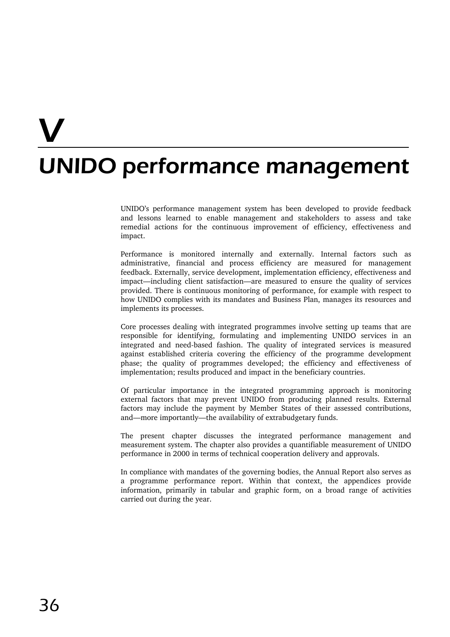# V

# UNIDO performance management

UNIDO's performance management system has been developed to provide feedback and lessons learned to enable management and stakeholders to assess and take remedial actions for the continuous improvement of efficiency, effectiveness and impact.

Performance is monitored internally and externally. Internal factors such as administrative, financial and process efficiency are measured for management feedback. Externally, service development, implementation efficiency, effectiveness and impact—including client satisfaction—are measured to ensure the quality of services provided. There is continuous monitoring of performance, for example with respect to how UNIDO complies with its mandates and Business Plan, manages its resources and implements its processes.

Core processes dealing with integrated programmes involve setting up teams that are responsible for identifying, formulating and implementing UNIDO services in an integrated and need-based fashion. The quality of integrated services is measured against established criteria covering the efficiency of the programme development phase; the quality of programmes developed; the efficiency and effectiveness of implementation; results produced and impact in the beneficiary countries.

Of particular importance in the integrated programming approach is monitoring external factors that may prevent UNIDO from producing planned results. External factors may include the payment by Member States of their assessed contributions, and—more importantly—the availability of extrabudgetary funds.

The present chapter discusses the integrated performance management and measurement system. The chapter also provides a quantifiable measurement of UNIDO performance in 2000 in terms of technical cooperation delivery and approvals.

In compliance with mandates of the governing bodies, the Annual Report also serves as a programme performance report. Within that context, the appendices provide information, primarily in tabular and graphic form, on a broad range of activities carried out during the year.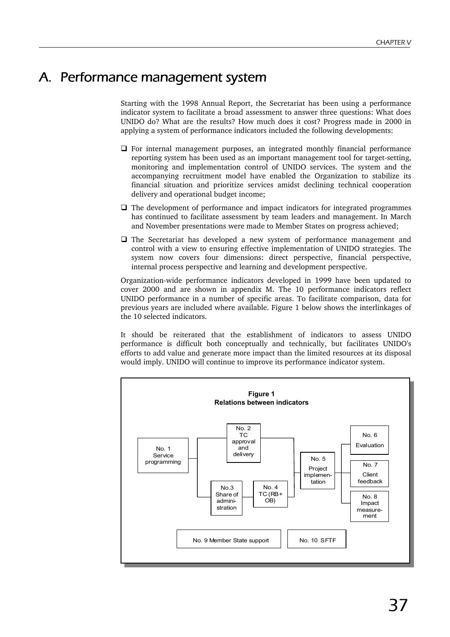# A. Performance management system

Starting with the 1998 Annual Report, the Secretariat has been using a performance indicator system to facilitate a broad assessment to answer three questions: What does UNIDO do? What are the results? How much does it cost? Progress made in 2000 in applying a system of performance indicators included the following developments:

- $\Box$  For internal management purposes, an integrated monthly financial performance reporting system has been used as an important management tool for target-setting, monitoring and implementation control of UNIDO services. The system and the accompanying recruitment model have enabled the Organization to stabilize its financial situation and prioritize services amidst declining technical cooperation delivery and operational budget income;
- $\Box$  The development of performance and impact indicators for integrated programmes has continued to facilitate assessment by team leaders and management. In March and November presentations were made to Member States on progress achieved;
- The Secretariat has developed a new system of performance management and control with a view to ensuring effective implementation of UNIDO strategies. The system now covers four dimensions: direct perspective, financial perspective, internal process perspective and learning and development perspective.

Organization-wide performance indicators developed in 1999 have been updated to cover 2000 and are shown in appendix M. The 10 performance indicators reflect UNIDO performance in a number of specific areas. To facilitate comparison, data for previous years are included where available. Figure 1 below shows the interlinkages of the 10 selected indicators.

It should be reiterated that the establishment of indicators to assess UNIDO performance is difficult both conceptually and technically, but facilitates UNIDO's efforts to add value and generate more impact than the limited resources at its disposal would imply. UNIDO will continue to improve its performance indicator system.

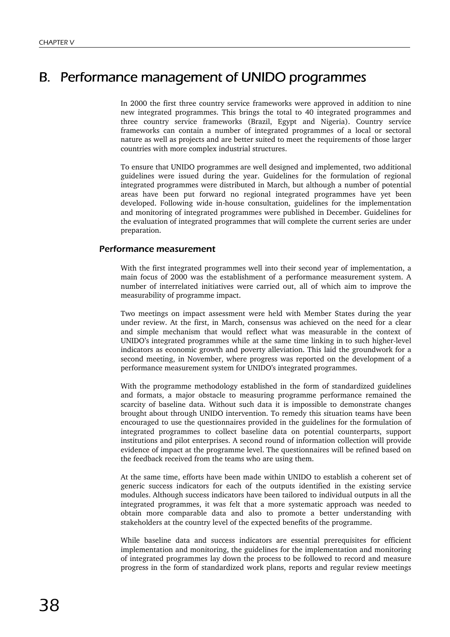# B. Performance management of UNIDO programmes

In 2000 the first three country service frameworks were approved in addition to nine new integrated programmes. This brings the total to 40 integrated programmes and three country service frameworks (Brazil, Egypt and Nigeria). Country service frameworks can contain a number of integrated programmes of a local or sectoral nature as well as projects and are better suited to meet the requirements of those larger countries with more complex industrial structures.

To ensure that UNIDO programmes are well designed and implemented, two additional guidelines were issued during the year. Guidelines for the formulation of regional integrated programmes were distributed in March, but although a number of potential areas have been put forward no regional integrated programmes have yet been developed. Following wide in-house consultation, guidelines for the implementation and monitoring of integrated programmes were published in December. Guidelines for the evaluation of integrated programmes that will complete the current series are under preparation.

#### Performance measurement

With the first integrated programmes well into their second year of implementation, a main focus of 2000 was the establishment of a performance measurement system. A number of interrelated initiatives were carried out, all of which aim to improve the measurability of programme impact.

Two meetings on impact assessment were held with Member States during the year under review. At the first, in March, consensus was achieved on the need for a clear and simple mechanism that would reflect what was measurable in the context of UNIDO's integrated programmes while at the same time linking in to such higher-level indicators as economic growth and poverty alleviation. This laid the groundwork for a second meeting, in November, where progress was reported on the development of a performance measurement system for UNIDO's integrated programmes.

With the programme methodology established in the form of standardized guidelines and formats, a major obstacle to measuring programme performance remained the scarcity of baseline data. Without such data it is impossible to demonstrate changes brought about through UNIDO intervention. To remedy this situation teams have been encouraged to use the questionnaires provided in the guidelines for the formulation of integrated programmes to collect baseline data on potential counterparts, support institutions and pilot enterprises. A second round of information collection will provide evidence of impact at the programme level. The questionnaires will be refined based on the feedback received from the teams who are using them.

At the same time, efforts have been made within UNIDO to establish a coherent set of generic success indicators for each of the outputs identified in the existing service modules. Although success indicators have been tailored to individual outputs in all the integrated programmes, it was felt that a more systematic approach was needed to obtain more comparable data and also to promote a better understanding with stakeholders at the country level of the expected benefits of the programme.

While baseline data and success indicators are essential prerequisites for efficient implementation and monitoring, the guidelines for the implementation and monitoring of integrated programmes lay down the process to be followed to record and measure progress in the form of standardized work plans, reports and regular review meetings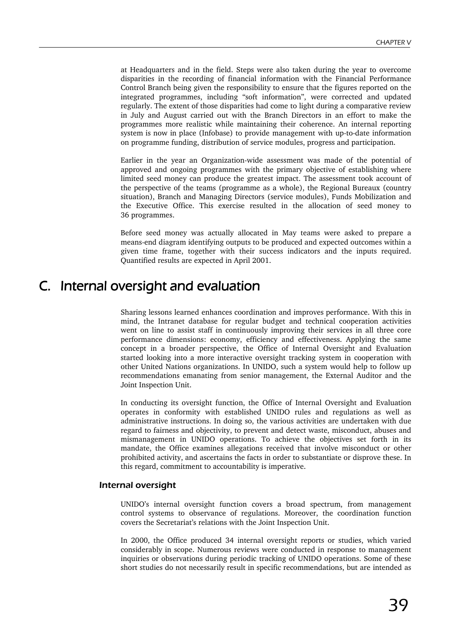at Headquarters and in the field. Steps were also taken during the year to overcome disparities in the recording of financial information with the Financial Performance Control Branch being given the responsibility to ensure that the figures reported on the integrated programmes, including "soft information", were corrected and updated regularly. The extent of those disparities had come to light during a comparative review in July and August carried out with the Branch Directors in an effort to make the programmes more realistic while maintaining their coherence. An internal reporting system is now in place (Infobase) to provide management with up-to-date information on programme funding, distribution of service modules, progress and participation.

Earlier in the year an Organization-wide assessment was made of the potential of approved and ongoing programmes with the primary objective of establishing where limited seed money can produce the greatest impact. The assessment took account of the perspective of the teams (programme as a whole), the Regional Bureaux (country situation), Branch and Managing Directors (service modules), Funds Mobilization and the Executive Office. This exercise resulted in the allocation of seed money to 36 programmes.

Before seed money was actually allocated in May teams were asked to prepare a means-end diagram identifying outputs to be produced and expected outcomes within a given time frame, together with their success indicators and the inputs required. Quantified results are expected in April 2001.

## C. Internal oversight and evaluation

Sharing lessons learned enhances coordination and improves performance. With this in mind, the Intranet database for regular budget and technical cooperation activities went on line to assist staff in continuously improving their services in all three core performance dimensions: economy, efficiency and effectiveness. Applying the same concept in a broader perspective, the Office of Internal Oversight and Evaluation started looking into a more interactive oversight tracking system in cooperation with other United Nations organizations. In UNIDO, such a system would help to follow up recommendations emanating from senior management, the External Auditor and the Joint Inspection Unit.

In conducting its oversight function, the Office of Internal Oversight and Evaluation operates in conformity with established UNIDO rules and regulations as well as administrative instructions. In doing so, the various activities are undertaken with due regard to fairness and objectivity, to prevent and detect waste, misconduct, abuses and mismanagement in UNIDO operations. To achieve the objectives set forth in its mandate, the Office examines allegations received that involve misconduct or other prohibited activity, and ascertains the facts in order to substantiate or disprove these. In this regard, commitment to accountability is imperative.

#### Internal oversight

UNIDO's internal oversight function covers a broad spectrum, from management control systems to observance of regulations. Moreover, the coordination function covers the Secretariat's relations with the Joint Inspection Unit.

In 2000, the Office produced 34 internal oversight reports or studies, which varied considerably in scope. Numerous reviews were conducted in response to management inquiries or observations during periodic tracking of UNIDO operations. Some of these short studies do not necessarily result in specific recommendations, but are intended as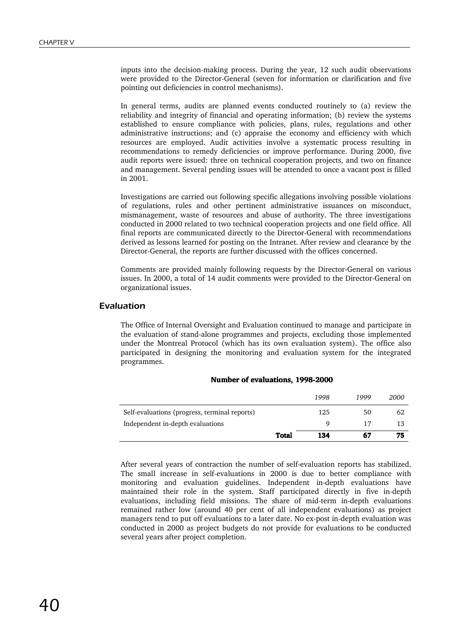inputs into the decision-making process. During the year, 12 such audit observations were provided to the Director-General (seven for information or clarification and five pointing out deficiencies in control mechanisms).

In general terms, audits are planned events conducted routinely to (a) review the reliability and integrity of financial and operating information; (b) review the systems established to ensure compliance with policies, plans, rules, regulations and other administrative instructions; and (c) appraise the economy and efficiency with which resources are employed. Audit activities involve a systematic process resulting in recommendations to remedy deficiencies or improve performance. During 2000, five audit reports were issued: three on technical cooperation projects, and two on finance and management. Several pending issues will be attended to once a vacant post is filled in 2001.

Investigations are carried out following specific allegations involving possible violations of regulations, rules and other pertinent administrative issuances on misconduct, mismanagement, waste of resources and abuse of authority. The three investigations conducted in 2000 related to two technical cooperation projects and one field office. All final reports are communicated directly to the Director-General with recommendations derived as lessons learned for posting on the Intranet. After review and clearance by the Director-General, the reports are further discussed with the offices concerned.

Comments are provided mainly following requests by the Director-General on various issues. In 2000, a total of 14 audit comments were provided to the Director-General on organizational issues.

#### Evaluation

The Office of Internal Oversight and Evaluation continued to manage and participate in the evaluation of stand-alone programmes and projects, excluding those implemented under the Montreal Protocol (which has its own evaluation system). The office also participated in designing the monitoring and evaluation system for the integrated programmes.

#### Number of evaluations, 1998-2000

|                                               |       | 1998 | 1999 | <i>2000</i> |
|-----------------------------------------------|-------|------|------|-------------|
| Self-evaluations (progress, terminal reports) |       | 125  | 50   | 62          |
| Independent in-depth evaluations              |       |      | 17   |             |
|                                               | Total | 134  | 67   | 75          |

After several years of contraction the number of self-evaluation reports has stabilized. The small increase in self-evaluations in 2000 is due to better compliance with monitoring and evaluation guidelines. Independent in-depth evaluations have maintained their role in the system. Staff participated directly in five in-depth evaluations, including field missions. The share of mid-term in-depth evaluations remained rather low (around 40 per cent of all independent evaluations) as project managers tend to put off evaluations to a later date. No ex-post in-depth evaluation was conducted in 2000 as project budgets do not provide for evaluations to be conducted several years after project completion.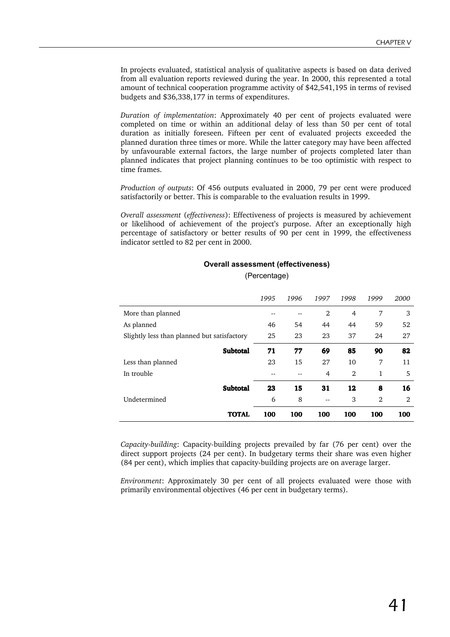In projects evaluated, statistical analysis of qualitative aspects is based on data derived from all evaluation reports reviewed during the year. In 2000, this represented a total amount of technical cooperation programme activity of \$42,541,195 in terms of revised budgets and \$36,338,177 in terms of expenditures.

*Duration of implementation*: Approximately 40 per cent of projects evaluated were completed on time or within an additional delay of less than 50 per cent of total duration as initially foreseen. Fifteen per cent of evaluated projects exceeded the planned duration three times or more. While the latter category may have been affected by unfavourable external factors, the large number of projects completed later than planned indicates that project planning continues to be too optimistic with respect to time frames.

*Production of outputs*: Of 456 outputs evaluated in 2000, 79 per cent were produced satisfactorily or better. This is comparable to the evaluation results in 1999.

*Overall assessment* (*effectiveness*): Effectiveness of projects is measured by achievement or likelihood of achievement of the project's purpose. After an exceptionally high percentage of satisfactory or better results of 90 per cent in 1999, the effectiveness indicator settled to 82 per cent in 2000.

|                                             | 1995 | 1996 | 1997           | 1998           | 1999           | 2000 |
|---------------------------------------------|------|------|----------------|----------------|----------------|------|
| More than planned                           |      |      | $\overline{2}$ | 4              | 7              | 3    |
| As planned                                  | 46   | 54   | 44             | 44             | 59             | 52   |
| Slightly less than planned but satisfactory | 25   | 23   | 23             | 37             | 24             | 27   |
| <b>Subtotal</b>                             | 71   | 77   | 69             | 85             | 90             | 82   |
| Less than planned                           | 23   | 15   | 27             | 10             | 7              | 11   |
| In trouble                                  |      |      | 4              | $\overline{2}$ | 1              | 5    |
| <b>Subtotal</b>                             | 23   | 15   | 31             | 12             | 8              | 16   |
| Undetermined                                | 6    | 8    |                | 3              | $\overline{2}$ | 2    |
| <b>TOTAL</b>                                | 100  | 100  | 100            | 100            | 100            | 100  |

#### **Overall assessment (effectiveness)**

(Percentage)

*Capacity-building*: Capacity-building projects prevailed by far (76 per cent) over the direct support projects (24 per cent). In budgetary terms their share was even higher (84 per cent), which implies that capacity-building projects are on average larger.

*Environment*: Approximately 30 per cent of all projects evaluated were those with primarily environmental objectives (46 per cent in budgetary terms).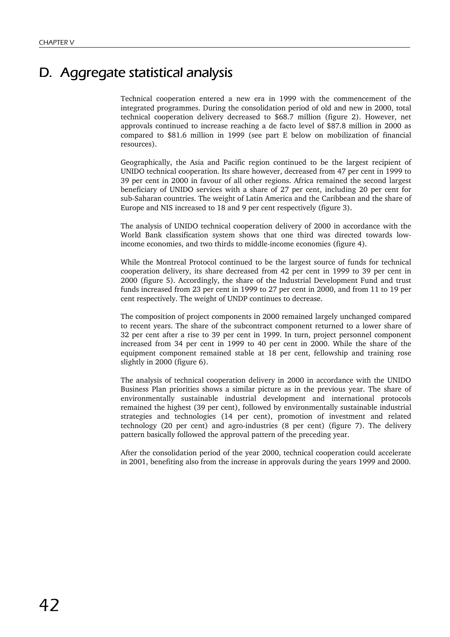# D. Aggregate statistical analysis

Technical cooperation entered a new era in 1999 with the commencement of the integrated programmes. During the consolidation period of old and new in 2000, total technical cooperation delivery decreased to \$68.7 million (figure 2). However, net approvals continued to increase reaching a de facto level of \$87.8 million in 2000 as compared to \$81.6 million in 1999 (see part E below on mobilization of financial resources).

Geographically, the Asia and Pacific region continued to be the largest recipient of UNIDO technical cooperation. Its share however, decreased from 47 per cent in 1999 to 39 per cent in 2000 in favour of all other regions. Africa remained the second largest beneficiary of UNIDO services with a share of 27 per cent, including 20 per cent for sub-Saharan countries. The weight of Latin America and the Caribbean and the share of Europe and NIS increased to 18 and 9 per cent respectively (figure 3).

The analysis of UNIDO technical cooperation delivery of 2000 in accordance with the World Bank classification system shows that one third was directed towards lowincome economies, and two thirds to middle-income economies (figure 4).

While the Montreal Protocol continued to be the largest source of funds for technical cooperation delivery, its share decreased from 42 per cent in 1999 to 39 per cent in 2000 (figure 5). Accordingly, the share of the Industrial Development Fund and trust funds increased from 23 per cent in 1999 to 27 per cent in 2000, and from 11 to 19 per cent respectively. The weight of UNDP continues to decrease.

The composition of project components in 2000 remained largely unchanged compared to recent years. The share of the subcontract component returned to a lower share of 32 per cent after a rise to 39 per cent in 1999. In turn, project personnel component increased from 34 per cent in 1999 to 40 per cent in 2000. While the share of the equipment component remained stable at 18 per cent, fellowship and training rose slightly in 2000 (figure 6).

The analysis of technical cooperation delivery in 2000 in accordance with the UNIDO Business Plan priorities shows a similar picture as in the previous year. The share of environmentally sustainable industrial development and international protocols remained the highest (39 per cent), followed by environmentally sustainable industrial strategies and technologies (14 per cent), promotion of investment and related technology (20 per cent) and agro-industries (8 per cent) (figure 7). The delivery pattern basically followed the approval pattern of the preceding year.

After the consolidation period of the year 2000, technical cooperation could accelerate in 2001, benefiting also from the increase in approvals during the years 1999 and 2000.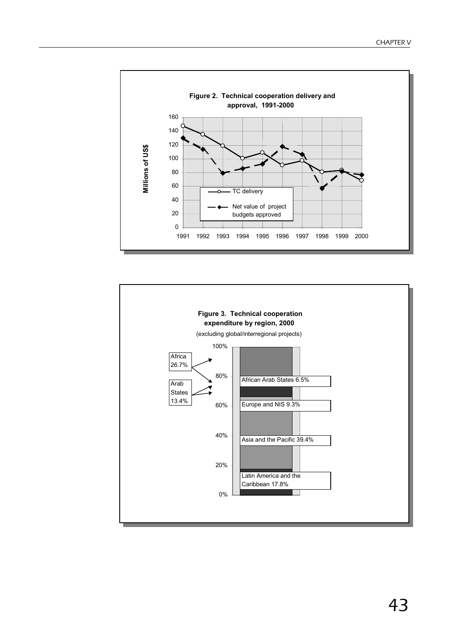

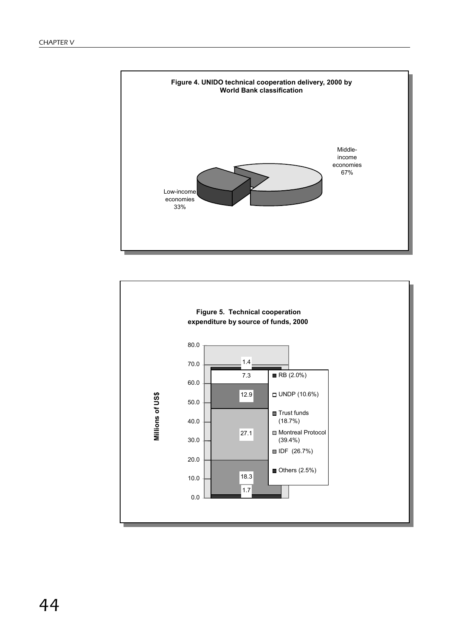

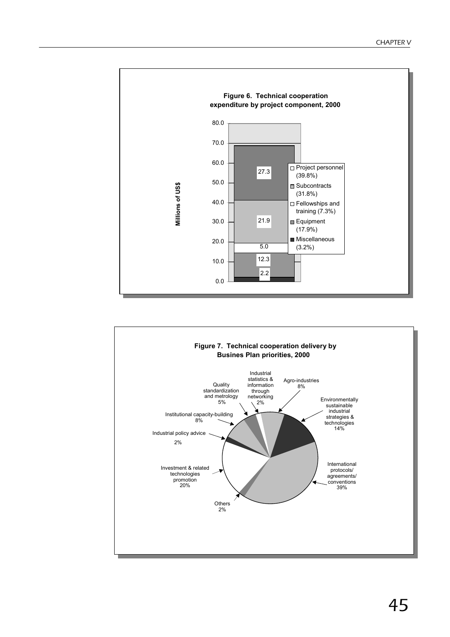

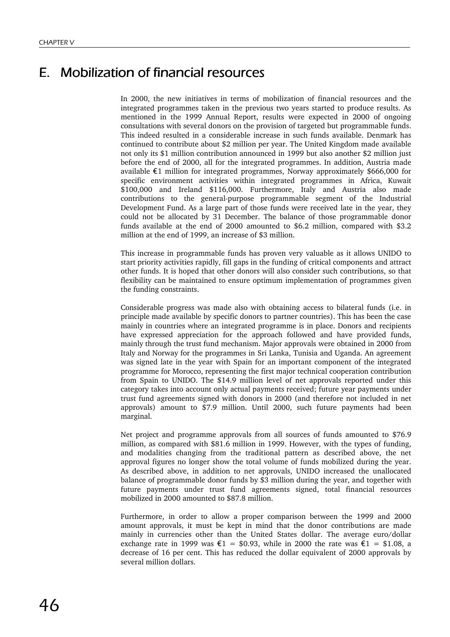# E. Mobilization of financial resources

In 2000, the new initiatives in terms of mobilization of financial resources and the integrated programmes taken in the previous two years started to produce results. As mentioned in the 1999 Annual Report, results were expected in 2000 of ongoing consultations with several donors on the provision of targeted but programmable funds. This indeed resulted in a considerable increase in such funds available. Denmark has continued to contribute about \$2 million per year. The United Kingdom made available not only its \$1 million contribution announced in 1999 but also another \$2 million just before the end of 2000, all for the integrated programmes. In addition, Austria made available €1 million for integrated programmes, Norway approximately \$666,000 for specific environment activities within integrated programmes in Africa, Kuwait \$100,000 and Ireland \$116,000. Furthermore, Italy and Austria also made contributions to the general-purpose programmable segment of the Industrial Development Fund. As a large part of those funds were received late in the year, they could not be allocated by 31 December. The balance of those programmable donor funds available at the end of 2000 amounted to \$6.2 million, compared with \$3.2 million at the end of 1999, an increase of \$3 million.

This increase in programmable funds has proven very valuable as it allows UNIDO to start priority activities rapidly, fill gaps in the funding of critical components and attract other funds. It is hoped that other donors will also consider such contributions, so that flexibility can be maintained to ensure optimum implementation of programmes given the funding constraints.

Considerable progress was made also with obtaining access to bilateral funds (i.e. in principle made available by specific donors to partner countries). This has been the case mainly in countries where an integrated programme is in place. Donors and recipients have expressed appreciation for the approach followed and have provided funds, mainly through the trust fund mechanism. Major approvals were obtained in 2000 from Italy and Norway for the programmes in Sri Lanka, Tunisia and Uganda. An agreement was signed late in the year with Spain for an important component of the integrated programme for Morocco, representing the first major technical cooperation contribution from Spain to UNIDO. The \$14.9 million level of net approvals reported under this category takes into account only actual payments received; future year payments under trust fund agreements signed with donors in 2000 (and therefore not included in net approvals) amount to \$7.9 million. Until 2000, such future payments had been marginal.

Net project and programme approvals from all sources of funds amounted to \$76.9 million, as compared with \$81.6 million in 1999. However, with the types of funding, and modalities changing from the traditional pattern as described above, the net approval figures no longer show the total volume of funds mobilized during the year. As described above, in addition to net approvals, UNIDO increased the unallocated balance of programmable donor funds by \$3 million during the year, and together with future payments under trust fund agreements signed, total financial resources mobilized in 2000 amounted to \$87.8 million.

Furthermore, in order to allow a proper comparison between the 1999 and 2000 amount approvals, it must be kept in mind that the donor contributions are made mainly in currencies other than the United States dollar. The average euro/dollar exchange rate in 1999 was  $\epsilon_1$  = \$0.93, while in 2000 the rate was  $\epsilon_1$  = \$1.08, a decrease of 16 per cent. This has reduced the dollar equivalent of 2000 approvals by several million dollars.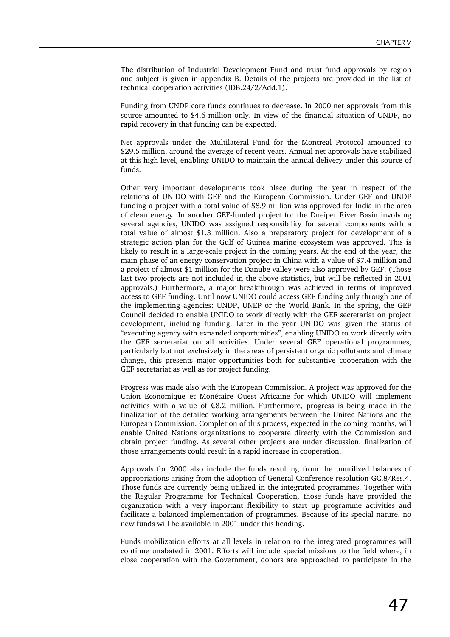The distribution of Industrial Development Fund and trust fund approvals by region and subject is given in appendix B. Details of the projects are provided in the list of technical cooperation activities (IDB.24/2/Add.1).

Funding from UNDP core funds continues to decrease. In 2000 net approvals from this source amounted to \$4.6 million only. In view of the financial situation of UNDP, no rapid recovery in that funding can be expected.

Net approvals under the Multilateral Fund for the Montreal Protocol amounted to \$29.5 million, around the average of recent years. Annual net approvals have stabilized at this high level, enabling UNIDO to maintain the annual delivery under this source of funds.

Other very important developments took place during the year in respect of the relations of UNIDO with GEF and the European Commission. Under GEF and UNDP funding a project with a total value of \$8.9 million was approved for India in the area of clean energy. In another GEF-funded project for the Dneiper River Basin involving several agencies, UNIDO was assigned responsibility for several components with a total value of almost \$1.3 million. Also a preparatory project for development of a strategic action plan for the Gulf of Guinea marine ecosystem was approved. This is likely to result in a large-scale project in the coming years. At the end of the year, the main phase of an energy conservation project in China with a value of \$7.4 million and a project of almost \$1 million for the Danube valley were also approved by GEF. (Those last two projects are not included in the above statistics, but will be reflected in 2001 approvals.) Furthermore, a major breakthrough was achieved in terms of improved access to GEF funding. Until now UNIDO could access GEF funding only through one of the implementing agencies: UNDP, UNEP or the World Bank. In the spring, the GEF Council decided to enable UNIDO to work directly with the GEF secretariat on project development, including funding. Later in the year UNIDO was given the status of "executing agency with expanded opportunities", enabling UNIDO to work directly with the GEF secretariat on all activities. Under several GEF operational programmes, particularly but not exclusively in the areas of persistent organic pollutants and climate change, this presents major opportunities both for substantive cooperation with the GEF secretariat as well as for project funding.

Progress was made also with the European Commission. A project was approved for the Union Economique et Monétaire Ouest Africaine for which UNIDO will implement activities with a value of €8.2 million. Furthermore, progress is being made in the finalization of the detailed working arrangements between the United Nations and the European Commission. Completion of this process, expected in the coming months, will enable United Nations organizations to cooperate directly with the Commission and obtain project funding. As several other projects are under discussion, finalization of those arrangements could result in a rapid increase in cooperation.

Approvals for 2000 also include the funds resulting from the unutilized balances of appropriations arising from the adoption of General Conference resolution GC.8/Res.4. Those funds are currently being utilized in the integrated programmes. Together with the Regular Programme for Technical Cooperation, those funds have provided the organization with a very important flexibility to start up programme activities and facilitate a balanced implementation of programmes. Because of its special nature, no new funds will be available in 2001 under this heading.

Funds mobilization efforts at all levels in relation to the integrated programmes will continue unabated in 2001. Efforts will include special missions to the field where, in close cooperation with the Government, donors are approached to participate in the